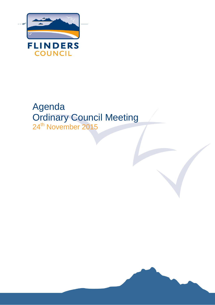

# Agenda Ordinary Council Meeting 24<sup>th</sup> November 2015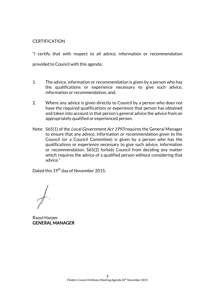#### **CERTIFICATION**

"I certify that with respect to all advice, information or recommendation provided to Council with this agenda:

- 1. The advice, information or recommendation is given by a person who has the qualifications or experience necessary to give such advice, information or recommendation, and;
- 2. Where any advice is given directly to Council by a person who does not have the required qualifications or experience that person has obtained and taken into account in that person's general advice the advice from an appropriately qualified or experienced person.
- Note: S65(1) of the *Local Government Act 1993* requires the General Manager to ensure that any advice, information or recommendation given to the Council (or a Council Committee) is given by a person who has the qualifications or experience necessary to give such advice, information or recommendation. S65(2) forbids Council from deciding any matter which requires the advice of a qualified person without considering that advice."

Dated this 19<sup>th</sup> day of November 2015.

Raoul Harper GENERAL MANAGER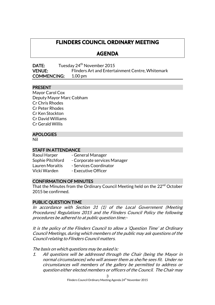## **FLINDERS COUNCIL ORDINARY MEETING**

### **AGENDA**

**DATE:** Tuesday  $24^{th}$  November 2015 VENUE: Flinders Art and Entertainment Centre, Whitemark COMMENCING: 1.00 pm

#### PRESENT

Mayor Carol Cox Deputy Mayor Marc Cobham Cr Chris Rhodes Cr Peter Rhodes Cr Ken Stockton Cr David Williams Cr Gerald Willis

#### APOLOGIES

Nil

#### STAFF IN ATTENDANCE

| Raoul Harper           | - General Manager            |
|------------------------|------------------------------|
| Sophie Pitchford       | - Corporate services Manager |
| <b>Lauren Moraitis</b> | - Services Coordinator       |
| Vicki Warden           | - Executive Officer          |

#### CONFIRMATION OF MINUTES

That the Minutes from the Ordinary Council Meeting held on the  $22<sup>nd</sup>$  October 2015 be confirmed.

#### PUBLIC QUESTION TIME

In accordance with Section 31 (1) of the Local Government (Meeting Procedures) Regulations 2015 and the Flinders Council Policy the following procedures be adhered to at public question time:-

It is the policy of the Flinders Council to allow a 'Question Time' at Ordinary Council Meetings, during which members of the public may ask questions of the Council relating to Flinders Council matters.

The basis on which questions may be asked is:

1. All questions will be addressed through the Chair (being the Mayor in normal circumstances) who will answer them as she/he sees fit. Under no circumstances will members of the gallery be permitted to address or question either elected members or officers of the Council. The Chair may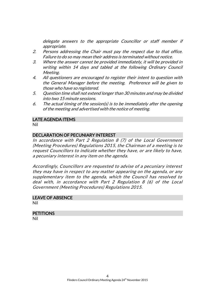delegate answers to the appropriate Councillor or staff member if appropriate.

- 2. Persons addressing the Chair must pay the respect due to that office. Failure to do so may mean their address is terminated without notice.
- 3. Where the answer cannot be provided immediately, it will be provided in writing within 14 days and tabled at the following Ordinary Council Meeting.
- 4. All questioners are encouraged to register their intent to question with the General Manager before the meeting. Preference will be given to those who have so registered.
- 5. Question time shall not extend longer than 30 minutes and may be divided into two 15 minute sessions.
- 6. The actual timing of the session(s) is to be immediately after the opening of the meeting and advertised with the notice of meeting.

#### LATE AGENDA ITEMS

Nil

#### DECLARATION OF PECUNIARY INTEREST

In accordance with Part 2 Regulation 8 (7) of the Local Government (Meeting Procedures) Regulations 2015, the Chairman of a meeting is to request Councillors to indicate whether they have, or are likely to have, a pecuniary interest in any item on the agenda.

Accordingly, Councillors are requested to advise of a pecuniary interest they may have in respect to any matter appearing on the agenda, or any supplementary item to the agenda, which the Council has resolved to deal with, in accordance with Part 2 Regulation 8 (6) of the Local Government (Meeting Procedures) Regulations 2015.

### LEAVE OF ABSENCE

Nil

### **PETITIONS**

Nil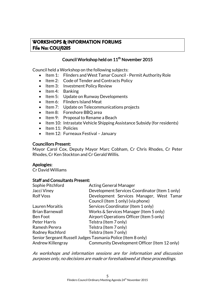### **WORKSHOPS & INFORMATION FORUMS File No: COU/0205**

### Council Workshop held on 11<sup>th</sup> November 2015

Council held a Workshop on the following subjects:

- Item 1: Flinders and West Tamar Council Permit Authority Role
- Item 2: Code of Tender and Contracts Policy
- Item 3: Investment Policy Review
- Item 4: Banking
- Item 5: Update on Runway Developments
- Item 6: Flinders Island Meat
- Item 7: Update on Telecommunications projects
- Item 8: Foreshore BBQ area
- $\bullet$  Item 9: Proposal to Rename a Beach
- Item 10: Intrastate Vehicle Shipping Assistance Subsidy (for residents)
- Item 11: Policies
- $\bullet$  Item 12: Furneaux Festival January

#### Councillors Present:

Mayor Carol Cox, Deputy Mayor Marc Cobham, Cr Chris Rhodes, Cr Peter Rhodes, Cr Ken Stockton and Cr Gerald Willis.

#### Apologies:

Cr David Williams

#### Staff and Consultants Present:

| <b>Acting General Manager</b>                                |  |  |  |
|--------------------------------------------------------------|--|--|--|
| Development Services Coordinator (Item 1 only)               |  |  |  |
| Development Services Manager, West Tamar                     |  |  |  |
| Council (Item 1 only) (via phone)                            |  |  |  |
| Services Coordinator (Item 1 only)                           |  |  |  |
| Works & Services Manager (Item 5 only)                       |  |  |  |
| Airport Operations Officer (Item 5 only)                     |  |  |  |
| Telstra (Item 7 only)                                        |  |  |  |
| Telstra (Item 7 only)                                        |  |  |  |
| Telstra (Item 7 only)                                        |  |  |  |
| Senior Sergeant Russell Judges Tasmania Police (Item 8 only) |  |  |  |
| Community Development Officer (Item 12 only)                 |  |  |  |
|                                                              |  |  |  |

As workshops and information sessions are for information and discussion purposes only, no decisions are made or foreshadowed at these proceedings.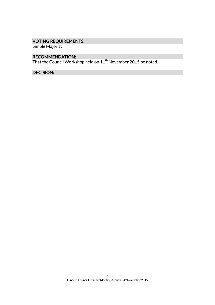### VOTING REQUIREMENTS:

Simple Majority

#### RECOMMENDATION:

That the Council Workshop held on  $11^{\rm th}$  November 2015 be noted.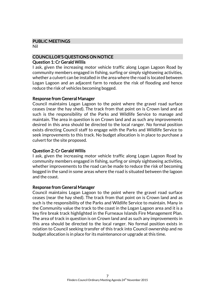#### PUBLIC MEETINGS

Nil

### COUNCILLOR'S QUESTIONS ON NOTICE

#### Question 1: Cr Gerald Willis

I ask, given the increasing motor vehicle traffic along Logan Lagoon Road by community members engaged in fishing, surfing or simply sightseeing activities, whether a culvert can be installed in the area where the road is located between Logan Lagoon and an adjacent farm to reduce the risk of flooding and hence reduce the risk of vehicles becoming bogged.

#### Response from General Manager

Council maintains Logan Lagoon to the point where the gravel road surface ceases (near the hay shed). The track from that point on is Crown land and as such is the responsibility of the Parks and Wildlife Service to manage and maintain. The area in question is on Crown land and as such any improvements desired in this area should be directed to the local ranger. No formal position exists directing Council staff to engage with the Parks and Wildlife Service to seek improvements to this track. No budget allocation is in place to purchase a culvert for the site proposed.

#### Question 2: Cr Gerald Willis

I ask, given the increasing motor vehicle traffic along Logan Lagoon Road by community members engaged in fishing, surfing or simply sightseeing activities, whether improvements to the road can be made to reduce the risk of becoming bogged in the sand in some areas where the road is situated between the lagoon and the coast.

#### Response from General Manager

Council maintains Logan Lagoon to the point where the gravel road surface ceases (near the hay shed). The track from that point on is Crown land and as such is the responsibility of the Parks and Wildlife Service to maintain. Many in the Community value the track to the coast in the Logan Lagoon area and it is a key fire break track highlighted in the Furneaux Islands Fire Management Plan. The area of track in question is on Crown land and as such any improvements in this area should be directed to the local ranger. No formal position exists in relation to Council seeking transfer of this track into Council ownership and no budget allocation is in place for its maintenance or upgrade at this time.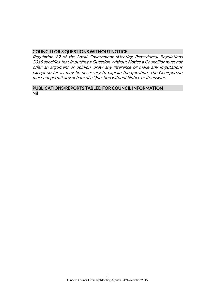#### COUNCILLOR'S QUESTIONS WITHOUT NOTICE

Regulation 29 of the Local Government (Meeting Procedures) Regulations 2015 specifies that in putting a Question Without Notice a Councillor must not offer an argument or opinion, draw any inference or make any imputations except so far as may be necessary to explain the question. The Chairperson must not permit any debate of a Question without Notice or its answer.

#### PUBLICATIONS/REPORTS TABLED FOR COUNCIL INFORMATION Nil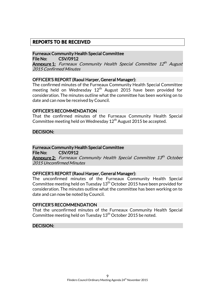### **REPORTS TO BE RECEIVED**

Furneaux Community Health Special Committee File No: CSV/0912

**Annexure 1:** Furneaux Community Health Special Committee 12<sup>th</sup> August 2015 Confirmed Minutes

#### OFFICER'S REPORT (Raoul Harper, General Manager):

The confirmed minutes of the Furneaux Community Health Special Committee meeting held on Wednesday  $12<sup>th</sup>$  August 2015 have been provided for consideration. The minutes outline what the committee has been working on to date and can now be received by Council.

#### OFFICER'S RECOMMENDATION

That the confirmed minutes of the Furneaux Community Health Special Committee meeting held on Wednesday  $12<sup>th</sup>$  August 2015 be accepted.

DECISION:

#### Furneaux Community Health Special Committee

File No: CSV/0912

**Annexure 2:** Furneaux Community Health Special Committee 13<sup>th</sup> October 2015 Unconfirmed Minutes

#### OFFICER'S REPORT (Raoul Harper, General Manager):

The unconfirmed minutes of the Furneaux Community Health Special Committee meeting held on Tuesday 13<sup>th</sup> October 2015 have been provided for consideration. The minutes outline what the committee has been working on to date and can now be noted by Council.

#### OFFICER'S RECOMMENDATION

That the unconfirmed minutes of the Furneaux Community Health Special Committee meeting held on Tuesday 13<sup>th</sup> October 2015 be noted.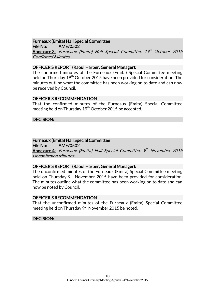### Furneaux (Emita) Hall Special Committee

File No: AME/0502 **Annexure 3:** Furneaux (Emita) Hall Special Committee 19<sup>th</sup> October 2015 Confirmed Minutes

#### OFFICER'S REPORT (Raoul Harper, General Manager):

The confirmed minutes of the Furneaux (Emita) Special Committee meeting held on Thursday 19<sup>th</sup> October 2015 have been provided for consideration. The minutes outline what the committee has been working on to date and can now be received by Council.

#### OFFICER'S RECOMMENDATION

That the confirmed minutes of the Furneaux (Emita) Special Committee meeting held on Thursday 19<sup>th</sup> October 2015 be accepted.

#### DECISION:

### Furneaux (Emita) Hall Special Committee

File No: AME/0502

**Annexure 4:** Furneaux (Emita) Hall Special Committee 9<sup>th</sup> November 2015 Unconfirmed Minutes

#### OFFICER'S REPORT (Raoul Harper, General Manager):

The unconfirmed minutes of the Furneaux (Emita) Special Committee meeting held on Thursday  $9<sup>th</sup>$  November 2015 have been provided for consideration. The minutes outline what the committee has been working on to date and can now be noted by Council.

#### OFFICER'S RECOMMENDATION

That the unconfirmed minutes of the Furneaux (Emita) Special Committee meeting held on Thursday  $9<sup>th</sup>$  November 2015 be noted.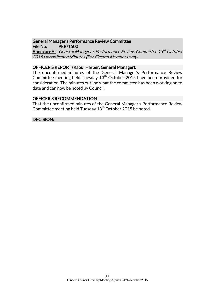#### General Manager's Performance Review Committee File No: PER/1500

**Annexure 5:** General Manager's Performance Review Committee 13<sup>th</sup> October 2015 Unconfirmed Minutes (For Elected Members only)

#### OFFICER'S REPORT (Raoul Harper, General Manager):

The unconfirmed minutes of the General Manager's Performance Review Committee meeting held Tuesday  $13<sup>th</sup>$  October 2015 have been provided for consideration. The minutes outline what the committee has been working on to date and can now be noted by Council.

#### OFFICER'S RECOMMENDATION

That the unconfirmed minutes of the General Manager's Performance Review Committee meeting held Tuesday  $13<sup>th</sup>$  October 2015 be noted.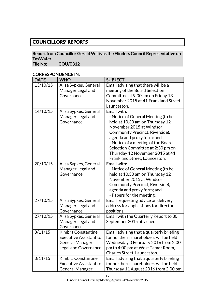### **COUNCILLORS' REPORTS**

#### Report from Councillor Gerald Willis as the Flinders Council Representative on TasWater<br>File No: COU/0312

| <b>DATE</b> | <b>WHO</b>                                                                                      | <b>SUBJECT</b>                                                                                                                                                                                                                                                                                                                   |
|-------------|-------------------------------------------------------------------------------------------------|----------------------------------------------------------------------------------------------------------------------------------------------------------------------------------------------------------------------------------------------------------------------------------------------------------------------------------|
| 13/10/15    | Ailsa Sypkes, General<br>Manager Legal and<br>Governance                                        | Email advising that there will be a<br>meeting of the Board Selection<br>Committee at 9:00 am on Friday 13<br>November 2015 at 41 Frankland Street,<br>Launceston.                                                                                                                                                               |
| 14/10/15    | Ailsa Sypkes, General<br>Manager Legal and<br>Governance                                        | Email with:<br>- Notice of General Meeting (to be<br>held at 10.30 am on Thursday 12<br>November 2015 at Windsor<br>Community Precinct, Riverside),<br>agenda and proxy form; and<br>- Notice of a meeting of the Board<br>Selection Committee at 2:30 pm on<br>Thursday 12 November 2015 at 41<br>Frankland Street, Launceston. |
| 20/10/15    | Ailsa Sypkes, General<br>Manager Legal and<br>Governance                                        | Email with:<br>- Notice of General Meeting (to be<br>held at 10.30 am on Thursday 12<br>November 2015 at Windsor<br>Community Precinct, Riverside),<br>agenda and proxy form; and<br>- Papers for the meeting.                                                                                                                   |
| 27/10/15    | Ailsa Sypkes, General<br>Manager Legal and<br>Governance                                        | Email requesting advice on delivery<br>address for applications for director<br>positions.                                                                                                                                                                                                                                       |
| 27/10/15    | Ailsa Sypkes, General<br>Manager Legal and<br>Governance                                        | Email with the Quarterly Report to 30<br>September 2015 attached.                                                                                                                                                                                                                                                                |
| 3/11/15     | Kimbra Constantine,<br>Executive Assistant to<br><b>General Manager</b><br>Legal and Governance | Email advising that a quarterly briefing<br>for northern shareholders will be held<br>Wednesday 3 February 2016 from 2:00<br>pm to 4:00 pm at West Tamar Room,<br>Charles Street, Launceston.                                                                                                                                    |
| 3/11/15     | Kimbra Constantine,<br><b>Executive Assistant to</b><br><b>General Manager</b>                  | Email advising that a quarterly briefing<br>for northern shareholders will be held<br>Thursday 11 August 2016 from 2:00 pm                                                                                                                                                                                                       |

### CORRESPONDENCE IN: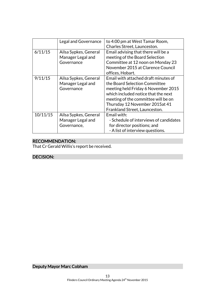|          | Legal and Governance                                      | to 4:00 pm at West Tamar Room,<br>Charles Street, Launceston.                                                                                                                                                                                                 |
|----------|-----------------------------------------------------------|---------------------------------------------------------------------------------------------------------------------------------------------------------------------------------------------------------------------------------------------------------------|
| 6/11/15  | Ailsa Sypkes, General<br>Manager Legal and<br>Governance  | Email advising that there will be a<br>meeting of the Board Selection<br>Committee at 12 noon on Monday 23<br>November 2015 at Clarence Council<br>offices, Hobart.                                                                                           |
| 9/11/15  | Ailsa Sypkes, General<br>Manager Legal and<br>Governance  | Email with attached draft minutes of<br>the Board Selection Committee<br>meeting held Friday 6 November 2015<br>which included notice that the next<br>meeting of the committee will be on<br>Thursday 12 November 2015at 41<br>Frankland Street, Launceston. |
| 10/11/15 | Ailsa Sypkes, General<br>Manager Legal and<br>Governance, | Email with:<br>- Schedule of interviews of candidates<br>for director positions; and<br>- A list of interview questions.                                                                                                                                      |

### RECOMMENDATION:

That Cr Gerald Willis's report be received.

### DECISION:

Deputy Mayor Marc Cobham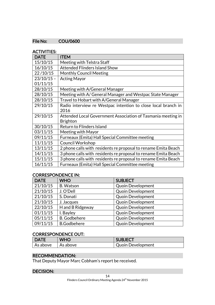#### File No: COU/0600

#### ACTIVITIES:

| <b>DATE</b>  | <b>ITEM</b>                                                    |
|--------------|----------------------------------------------------------------|
| 15/10/15     | Meeting with Telstra Staff                                     |
| 16/10/15     | <b>Attended Flinders Island Show</b>                           |
| 22/10/15     | <b>Monthly Council Meeting</b>                                 |
| $23/10/15 -$ | <b>Acting Mayor</b>                                            |
| 01/11/15     |                                                                |
| 28/10/15     | Meeting with A/General Manager                                 |
| 28/10/15     | Meeting with A/ General Manager and Westpac State Manager      |
| 28/10/15     | Travel to Hobart with A/General Manager                        |
| 29/10/15     | Radio interview re Westpac intention to close local branch in  |
|              | 2016                                                           |
| 29/10/15     | Attended Local Government Association of Tasmania meeting in   |
|              | <b>Brighton</b>                                                |
| 30/10/15     | Return to Flinders Island                                      |
| 03/11/15     | Meeting with Mayor                                             |
| 09/11/15     | Furneaux (Emita) Hall Special Committee meeting                |
| 11/11/15     | <b>Council Workshop</b>                                        |
| 13/11/15     | 2 phone calls with residents re proposal to rename Emita Beach |
| 14/11/15     | 3 phone calls with residents re proposal to rename Emita Beach |
| 15/11/15     | 3 phone calls with residents re proposal to rename Emita Beach |
| 16/11/15     | Furneaux (Emita) Hall Special Committee meeting                |

#### CORRESPONDENCE IN:

| <b>DATE</b> | <b>WHO</b>          | <b>SUBJECT</b>           |
|-------------|---------------------|--------------------------|
| 21/10/15    | <b>B.</b> Watson    | <b>Quoin Development</b> |
| 21/10/15    | J. O'Dell           | <b>Quoin Development</b> |
| 21/10/15    | S. Donati           | <b>Quoin Development</b> |
| 21/10/15    | J. Jacques          | <b>Quoin Development</b> |
| 22/10/15    | H and B Ridgeway    | <b>Quoin Development</b> |
| 01/11/15    | I. Bayley           | <b>Quoin Development</b> |
| 05/11/15    | <b>B.</b> Godbehere | <b>Quoin Development</b> |
| 09/11/15    | <b>B.Godbehere</b>  | <b>Quoin Development</b> |

#### CORRESPONDENCE OUT:

| <b>DATE</b> | <b>WHO</b>                        | <b>SUBJECT</b>           |
|-------------|-----------------------------------|--------------------------|
| As above    | $\overline{\phantom{a}}$ As above | <b>Quoin Development</b> |

### RECOMMENDATION:

That Deputy Mayor Marc Cobham's report be received.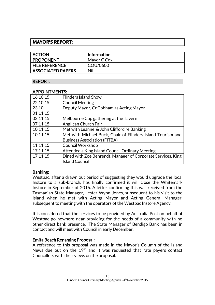### **MAYOR'S REPORT:**

| <b>ACTION</b>            | Information |
|--------------------------|-------------|
| <b>PROPONENT</b>         | Mayor C Cox |
| <b>FILE REFERENCE</b>    | COU/0600    |
| <b>ASSOCIATED PAPERS</b> | Nil         |

#### REPORT:

#### APPOINTMENTS:

| 16.10.15  | <b>Flinders Island Show</b>                                  |  |  |
|-----------|--------------------------------------------------------------|--|--|
| 22.10.15  | <b>Council Meeting</b>                                       |  |  |
| $23.10 -$ | Deputy Mayor, Cr Cobham as Acting Mayor                      |  |  |
| 01.11.15  |                                                              |  |  |
| 03.11.15  | Melbourne Cup gathering at the Tavern                        |  |  |
| 07.11.15  | Anglican Church Fair                                         |  |  |
| 10.11.15  | Met with Leanne & John Clifford re Banking                   |  |  |
| 10.11.15  | Met with Michael Buck, Chair of Flinders Island Tourism and  |  |  |
|           | <b>Business Association (FITBA)</b>                          |  |  |
| 11.11.15  | <b>Council Workshop</b>                                      |  |  |
| 17.11.15  | Attended a King Island Council Ordinary Meeting              |  |  |
| 17.11.15  | Dined with Zoe Behrendt, Manager of Corporate Services, King |  |  |
|           | <b>Island Council</b>                                        |  |  |

#### Banking:

Westpac, after a drawn out period of suggesting they would upgrade the local Instore to a sub-branch, has finally confirmed it will close the Whitemark Instore in September of 2016. A letter confirming this was received from the Tasmanian State Manager, Lester Wynn-Jones, subsequent to his visit to the Island when he met with Acting Mayor and Acting General Manager, subsequent to meeting with the operators of the Westpac Instore Agency.

It is considered that the services to be provided by Australia Post on behalf of Westpac go nowhere near providing for the needs of a community with no other direct bank presence. The State Manager of Bendigo Bank has been in contact and will meet with Council in early December.

#### Emita Beach Renaming Proposal:

A reference to this proposal was made in the Mayor's Column of the Island News due out on the  $19<sup>th</sup>$  and it was requested that rate payers contact Councillors with their views on the proposal.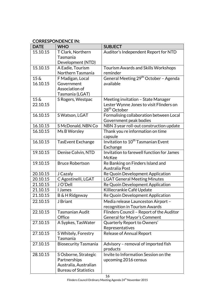### CORRESPONDENCE IN:

| <b>DATE</b>        | <b>WHO</b>                      | <b>SUBJECT</b>                                                      |
|--------------------|---------------------------------|---------------------------------------------------------------------|
| 15.10.15           | T Clark, Northern               | Auditor's Independent Report for NTD                                |
|                    | Tasmania                        |                                                                     |
|                    | Development (NTD)               |                                                                     |
| 15.10.15           | A Eadie, Tourism                | <b>Tourism Awards and Skills Workshops</b>                          |
|                    | Northern Tasmania               | reminder                                                            |
| $15\,\mathrm{\AA}$ | F Madigan, Local                | General Meeting 29 <sup>th</sup> October - Agenda                   |
| 16.10.15           | Government                      | available                                                           |
|                    | Association of                  |                                                                     |
|                    | Tasmania (LGAT)                 |                                                                     |
| $15\ \&$           | S Rogers, Westpac               | Meeting invitation - State Manager                                  |
| 22.10.15           |                                 | Lester Wynne Jones to visit Flinders on<br>28 <sup>th</sup> October |
| 16.10.15           | S Watson, LGAT                  | Formalising collaboration between Local                             |
|                    |                                 | Government peak bodies                                              |
| 16.10.15           | S McDonald, NBN Co              | NBN 3 year roll-out construction update                             |
| 16.10.15           | Ms B Worsley                    | Thank you re information on time                                    |
|                    |                                 | capsule                                                             |
| 16.10.15           | <b>TasEvent Exchange</b>        | Invitation to 10 <sup>th</sup> Tasmanian Event                      |
|                    |                                 | Exchange                                                            |
| 19.10.15           | Denise Colvin, NTD              | Invitation to farewell function for James                           |
|                    |                                 | McKee                                                               |
| 19.10.15           | <b>Bruce Robertson</b>          | Re Banking on Finders Island and                                    |
|                    |                                 | Australia Post                                                      |
| 20.10.15           | J Cazaly                        | Re Quoin Development Application                                    |
| 20.10.15           | C Agostinelli, LGAT             | <b>LGAT General Meeting Minutes</b>                                 |
| 21.10.15           | JO'Dell                         | Re Quoin Development Application                                    |
| 21.10.15           | I James                         | Killiecrankie Café Update                                           |
| 21.10.15           | <b>B &amp; H Ridgeway</b>       | Re Quoin Development Application                                    |
| 22.10.15           | J Briant                        | Media release Launceston Airport -                                  |
|                    |                                 | recognition in Tourism Awards                                       |
| 22.10.15           | Tasmanian Audit                 | Flinders Council - Report of the Auditor                            |
| 27.10.15           | Office                          | General for Mayor's Comment                                         |
|                    | A Sypkes, TasWater              | Quarterly Report to Owners'<br>Representatives                      |
| 27.10.15           |                                 | <b>Release of Annual Report</b>                                     |
|                    | S Whitely, Forestry<br>Tasmania |                                                                     |
| 27.10.15           | <b>Biosecurity Tasmania</b>     | Advisory - removal of imported fish                                 |
|                    |                                 | products                                                            |
| 28.10.15           | S Osborne, Strategic            | Invite to Information Session on the                                |
|                    | Partnerships                    | upcoming 2016 census                                                |
|                    | Australia, Australian           |                                                                     |
|                    | <b>Bureau of Statistics</b>     |                                                                     |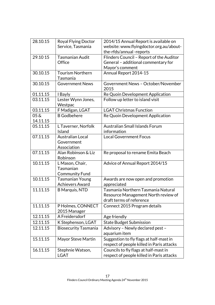| 28.10.15                       | Royal Flying Doctor                 | 2014/15 Annual Report is available on      |
|--------------------------------|-------------------------------------|--------------------------------------------|
|                                | Service, Tasmania                   | website: www.flyingdoctor.org.au/about-    |
|                                |                                     | the-rfds/annual-reports                    |
| 29.10 15                       | Tasmanian Audit                     | Flinders Council - Report of the Auditor   |
|                                | Office                              | General - additional commentary for        |
|                                |                                     | Mayor's comment                            |
| 30.10.15                       | <b>Tourism Northern</b><br>Tasmania | Annual Report 2014-15                      |
| 30.10.15                       | <b>Government News</b>              | Government News - October/November<br>2015 |
| 01.11.15                       | I Bayly                             | Re Quoin Development Application           |
| 03.11.15                       | Lester Wynn Jones,<br>Westpac       | Follow up letter to island visit           |
| 03.11.15                       | F Madigan, LGAT                     | <b>LGAT Christmas Function</b>             |
| $05\,\mathrm{\AA}$<br>14.11.15 | <b>B</b> Godbehere                  | Re Quoin Development Application           |
| 05.11.15                       | L Taverner, Norfolk                 | <b>Australian Small Islands Forum</b>      |
|                                | Island                              | information                                |
| 07.11.15                       | <b>Australian Local</b>             | <b>Local Government Focus</b>              |
|                                | Government                          |                                            |
|                                | Association                         |                                            |
| 07.11.15                       | Alan Robinson & Liz<br>Robinson     | Re proposal to rename Emita Beach          |
| 10.11.15                       | L Mason, Chair,                     | Advice of Annual Report 2014/15            |
|                                | Tasmanian                           |                                            |
|                                | <b>Community Fund</b>               |                                            |
| 10.11.15                       | <b>Tasmanian Young</b>              | Awards are now open and promotion          |
|                                | <b>Achievers Award</b>              | appreciated                                |
| 11.11.15                       | <b>B</b> Marquis, NTD               | Tasmania Northern Tasmania Natural         |
|                                |                                     | Resource Management North review of        |
|                                |                                     | draft terms of reference                   |
| 11.11.15                       | P Holmes, CONNECT<br>2015 Manager   | Connect 2015 Program details               |
| 12.11.15                       | A Freidersdorf                      | Age friendly                               |
| 12.11.15                       | K Stephenson, LGAT                  | <b>State Budget Submission</b>             |
| 12.11.15                       | <b>Biosecurity Tasmania</b>         | Advisory - Newly declared pest -           |
|                                |                                     | aquarium item                              |
| 15.11.15                       | <b>Mayor Steve Martin</b>           | Suggestion to fly flags at half-mast in    |
|                                |                                     | respect of people killed in Paris attacks  |
| 16.11.15                       | Stephnie Watson,                    | Councils to fly flags at half-mast in      |
|                                | LGAT                                | respect of people killed in Paris attacks  |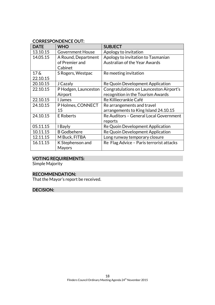#### CORRESPONDENCE OUT:

| <b>DATE</b>        | <b>WHO</b>              | <b>SUBJECT</b>                           |
|--------------------|-------------------------|------------------------------------------|
| 13.10.15           | <b>Government House</b> | Apology to invitation                    |
| 14.05.15           | A Round, Department     | Apology to invitation to Tasmanian       |
|                    | of Premier and          | <b>Australian of the Year Awards</b>     |
|                    | Cabinet                 |                                          |
| $17\,\mathrm{\AA}$ | S Rogers, Westpac       | Re meeting invitation                    |
| 22.10.15           |                         |                                          |
| 20.10.15           | J Cazaly                | Re Quoin Development Application         |
| 22.10.15           | P Hodgen, Launceston    | Congratulations on Launceston Airport's  |
|                    | Airport                 | recognition in the Tourism Awards        |
| 22.10.15           | <b>James</b>            | Re Killiecrankie Café                    |
| 24.10.15           | P Holmes, CONNECT       | Re arrangements and travel               |
|                    | 15                      | arrangements to King Island 24.10.15     |
| 24.10.15           | <b>E</b> Roberts        | Re Auditors - General Local Government   |
|                    |                         | reports                                  |
| 05.11.15           | I Bayly                 | Re Quoin Development Application         |
| 10.11.15           | <b>B</b> Godbehere      | Re Quoin Development Application         |
| 12.11.15           | M Buck, FITBA           | Long runway temporary closure            |
| 16.11.15           | K Stephenson and        | Re Flag Advice - Paris terrorist attacks |
|                    | Mayors                  |                                          |

### VOTING REQUIREMENTS:

Simple Majority

### RECOMMENDATION:

That the Mayor's report be received.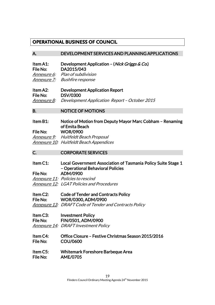### **OPERATIONAL BUSINESS OF COUNCIL**

#### A. DEVELOPMENT SERVICES AND PLANNING APPLICATIONS

Item A1: Development Application – (Nick Griggs & Co.) File No: DA2015/043 Annexure 6: Plan of subdivision

Annexure 7: Bushfire response

Item A2: Development Application Report File No: DSV/0300 Annexure 8: Development Application Report - October 2015

B. NOTICE OF MOTIONS

### Item B1: Notice of Motion from Deputy Mayor Marc Cobham – Renaming of Emita Beach

File No: WOR/0900 Annexure 9: Huitfeldt Beach Proposal Annexure 10: Huitfeldt Beach Appendices

### C. CORPORATE SERVICES

Item C1: Local Government Association of Tasmania Policy Suite Stage 1 – Operational Behavioral Policies

File No: ADM/0900 Annexure 11: Policies to rescind Annexure 12: LGAT Policies and Procedures

Item C2: Code of Tender and Contracts Policy File No: WOR/0300, ADM/0900

Annexure 13: DRAFT Code of Tender and Contracts Policy

Item C3: Investment Policy

File No: FIN/0501, ADM/0900

Annexure 14: DRAFT Investment Policy

- Item C4: Office Closure Festive Christmas Season 2015/2016 File No: COU/0600
- Item C5: Whitemark Foreshore Barbeque Area File No: AME/0705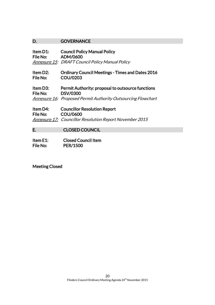### D. **GOVERNANCE**

| Item D1:<br>File No: | <b>Council Policy Manual Policy</b><br>ADM/0600<br>Annexure 15: DRAFT Council Policy Manual Policy                                          |
|----------------------|---------------------------------------------------------------------------------------------------------------------------------------------|
| Item D2:<br>File No: | <b>Ordinary Council Meetings - Times and Dates 2016</b><br><b>COU/0203</b>                                                                  |
| Item D3:<br>File No: | <b>Permit Authority: proposal to outsource functions</b><br><b>DSV/0300</b><br>Annexure 16: Proposed Permit Authority Outsourcing Flowchart |
| Item D4:<br>File No: | <b>Councillor Resolution Report</b><br><b>COU/0600</b><br>Annexure 17: Councillor Resolution Report November 2015                           |

E. CLOSED COUNCIL

| Item E1: | <b>Closed Council Item</b> |
|----------|----------------------------|
| File No: | <b>PER/1500</b>            |

Meeting Closed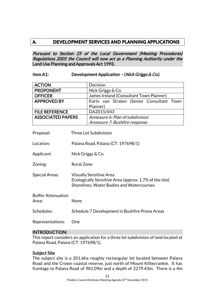### **A. DEVELOPMENT SERVICES AND PLANNING APPLICATIONS**

Pursuant to Section 25 of the Local Government (Meeting Procedures) Regulations 2005 the Council will now act as a Planning Authority under the Land Use Planning and Approvals Act 1993.

#### Item A1: Development Application – (Nick Griggs & Co.)

| <b>ACTION</b>            | Decision                                  |  |
|--------------------------|-------------------------------------------|--|
| <b>PROPONENT</b>         | Nick Griggs & Co.                         |  |
| <b>OFFICER</b>           | James Ireland (Consultant Town Planner)   |  |
| <b>APPROVED BY</b>       | Karin van Straten (Senior Consultant Town |  |
|                          | Planner)                                  |  |
| <b>FILE REFERENCE</b>    | DA2015/043                                |  |
| <b>ASSOCIATED PAPERS</b> | Annexure 6: Plan of subdivision           |  |
|                          | Annexure 7: Bushfire response             |  |

| Proposal:                          | Three Lot Subdivision                                                                                                                 |
|------------------------------------|---------------------------------------------------------------------------------------------------------------------------------------|
| Location:                          | Palana Road, Palana (CT: 197698/1)                                                                                                    |
| Applicant:                         | Nick Griggs & Co                                                                                                                      |
| Zoning:                            | <b>Rural Zone</b>                                                                                                                     |
| <b>Special Areas:</b>              | <b>Visually Sensitive Area</b><br>Ecologically Sensitive Area (approx. 1.7% of the site)<br>Shorelines, Water Bodies and Watercourses |
| <b>Buffer Attenuation</b><br>Area: | None                                                                                                                                  |
| Schedules:                         | Schedule 7 Development in Bushfire Prone Areas                                                                                        |
| Representations:                   | One                                                                                                                                   |

#### INTRODUCTION:

This report considers an application for a three lot subdivision of land located at Palana Road, Palana (CT: 197698/1).

#### Subject Site

The subject site is a 201.6ha roughly rectangular lot located between Palana Road and the Crown coastal reserve, just north of Mount Killiecrankie. It has frontage to Palana Road of 981.09m and a depth of 2279.43m. There is a 4m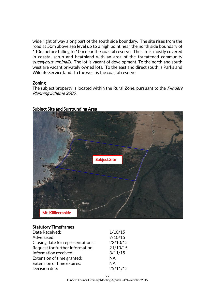wide right of way along part of the south side boundary. The site rises from the road at 50m above sea level up to a high point near the north side boundary of 110m before falling to 10m near the coastal reserve. The site is mostly covered in coastal scrub and heathland with an area of the threatened community eucalyptus viminalis. The lot is vacant of development. To the north and south west are vacant privately owned lots. To the east and direct south is Parks and Wildlife Service land. To the west is the coastal reserve.

#### Zoning

The subject property is located within the Rural Zone, pursuant to the *Flinders* Planning Scheme 2000.



#### Subject Site and Surrounding Area

#### Statutory Timeframes

| Date Received:                    | 1/10/15   |
|-----------------------------------|-----------|
| Advertised:                       | 7/10/15   |
| Closing date for representations: | 22/10/15  |
| Request for further information:  | 21/10/15  |
| Information received:             | 3/11/15   |
| Extension of time granted:        | <b>NA</b> |
| Extension of time expires:        | <b>NA</b> |
| Decision due:                     | 25/11/15  |
|                                   |           |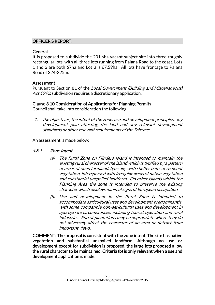#### OFFICER'S REPORT:

#### **General**

It is proposed to subdivide the 201.6ha vacant subject site into three roughly rectangular lots, with all three lots running from Palana Road to the coast. Lots 1 and 2 are both 67ha and Lot 3 is 67.59ha. All lots have frontage to Palana Road of 324-325m.

#### Assessment

Pursuant to Section 81 of the Local Government (Building and Miscellaneous) Act 1993, subdivision requires a discretionary application.

#### Clause 3.10 Consideration of Applications for Planning Permits

Council shall take into consideration the following:

1. the objectives, the intent of the zone, use and development principles, any development plan affecting the land and any relevant development standards or other relevant requirements of the Scheme;

An assessment is made below:

#### 5.8.1 Zone Intent

- (a) The Rural Zone on Flinders Island is intended to maintain the existing rural character of the island which is typified by a pattern of areas of open farmland, typically with shelter belts of remnant vegetation, interspersed with irregular areas of native vegetation and substantial unspoiled landform. On other islands within the Planning Area the zone is intended to preserve the existing character which displays minimal signs of European occupation.
- (b) Use and development in the Rural Zone is intended to accommodate agricultural uses and development predominantly, with some compatible non-agricultural uses and development in appropriate circumstances, including tourist operation and rural industries. Forest plantations may be appropriate where they do not adversely affect the character of an area or detract from important views.

COMMENT: The proposal is consistent with the zone intent. The site has native vegetation and substantial unspoiled landform. Although no use or development except for subdivision is proposed, the large lots proposed allow the rural character to be maintained. Criteria (b) is only relevant when a use and development application is made.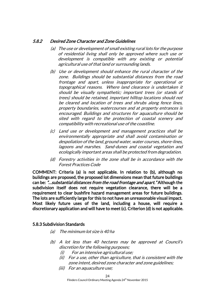#### 5.8.2 Desired Zone Character and Zone Guidelines

- (a) The use or development of small existing rural lots for the purpose of residential living shall only be approved where such use or development is compatible with any existing or potential agricultural use of that land or surrounding lands.
- (b) Use or development should enhance the rural character of the zone. Buildings should be substantial distances from the road frontage and apart, unless inappropriate for operational or topographical reasons. Where land clearance is undertaken it should be visually sympathetic; important trees (or stands of trees) should be retained, important hilltop locations should not be cleared and location of trees and shrubs along fence lines, property boundaries, watercourses and at property entrances is encouraged. Buildings and structures for aquaculture should be sited with regard to the protection of coastal scenery and compatibility with recreational use of the coastline.
- (c) Land use or development and management practices shall be environmentally appropriate and shall avoid contamination or despoliation of the land, ground water, water courses, shore-lines, lagoons and marshes. Sand-dunes and coastal vegetation and ecologically important areas shall be protected from degradation.
- (d) Forestry activities in the zone shall be in accordance with the Forest Practices Code

COMMENT: Criteria (a) is not applicable. In relation to (b), although no buildings are proposed, the proposed lot dimensions mean that future buildings can be: "…substantial distances from the road frontage and apart." Although the subdivision itself does not require vegetation clearance, there will be a requirement to clear bushfire hazard management areas for future buildings. The lots are sufficiently large for this to not have an unreasonable visual impact. Most likely future uses of the land, including a house, will require a discretionary application and will have to meet (c). Criterion (d) is not applicable.

#### 5.8.3 Subdivision Standards

- (a) The minimum lot size is 40 ha
- (b) A lot less than 40 hectares may be approved at Council's discretion for the following purposes;
	- (i) For an intensive agricultural use;
	- (ii) For a use, other than agriculture, that is consistent with the zone intent, desired zone character and zone guidelines;
	- (iii) For an aquaculture use;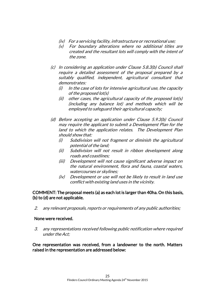- (iv) For a servicing facility, infrastructure or recreational use;
- (v) For boundary alterations where no additional titles are created and the resultant lots will comply with the intent of the zone.
- (c) In considering an application under Clause 5.8.3(b) Council shall require a detailed assessment of the proposal prepared by a suitably qualified, independent, agricultural consultant that demonstrates:
	- $(i)$  In the case of lots for intensive agricultural use, the capacity of the proposed lot(s)
	- (ii) other cases, the agricultural capacity of the proposed lot(s) (including any balance lot) and methods which will be employed to safeguard their agricultural capacity;
- (d) Before accepting an application under Clause 5.9.3(b) Council may require the applicant to submit a Development Plan for the land to which the application relates. The Development Plan should show that:
	- (i) Subdivision will not fragment or diminish the agricultural potential of the land;
	- (ii) Subdivision will not result in ribbon development along roads and coastlines;
	- (iii) Development will not cause significant adverse impact on the natural environment, flora and fauna, coastal waters, watercourses or skylines;
	- (iv) Development or use will not be likely to result in land use conflict with existing land uses in the vicinity.

#### COMMENT: The proposal meets (a) as each lot is larger than 40ha. On this basis, (b) to (d) are not applicable.

2. any relevant proposals, reports or requirements of any public authorities;

#### None were received.

3. any representations received following public notification where required under the Act;

#### One representation was received, from a landowner to the north. Matters raised in the representation are addressed below: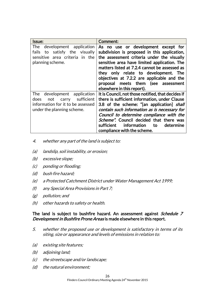| <b>Issue:</b>                                                                                                                           | Comment:                                                                                                                                                                                                                                                                                                                                                                                      |
|-----------------------------------------------------------------------------------------------------------------------------------------|-----------------------------------------------------------------------------------------------------------------------------------------------------------------------------------------------------------------------------------------------------------------------------------------------------------------------------------------------------------------------------------------------|
| The<br>development application<br>satisfy the visually<br>fails<br>to<br>sensitive area criteria in the<br>planning scheme.             | As no use or development except for<br>subdivision is proposed in this application,<br>the assessment criteria under the visually<br>sensitive area have limited application. The<br>matters listed at 7.2.4 cannot be assessed as<br>they only relate to development. The<br>objectives at 7.2.2 are applicable and the<br>proposal meets them (see assessment<br>elsewhere in this report). |
| development application<br>The<br>sufficient<br>not<br>does<br>carry<br>information for it to be assessed<br>under the planning scheme. | It is Council, not those notified, that decides if<br>there is sufficient information, under Clause<br>3.8 of the scheme: "[an application] shall<br>contain such information as is necessary for<br>Council to determine compliance with the<br>Scheme". Council decided that there was<br>information<br>sufficient<br>determine<br>to<br>compliance with the scheme.                       |

- 4. whether any part of the land is subject to:
- (a) landslip, soil instability, or erosion;
- (b) excessive slope;
- (c) ponding or flooding;
- (d) bush fire hazard;
- (e) a Protected Catchment District under Water Management Act 1999;
- (f) any Special Area Provisions in Part 7;
- (g) pollution; and
- (h) other hazards to safety or health.

#### The land is subject to bushfire hazard. An assessment against Schedule 7 Development in Bushfire Prone Areas is made elsewhere in this report.

- 5. whether the proposed use or development is satisfactory in terms of its siting, size or appearance and levels of emissions in relation to:
- (a) existing site features;
- (b) adjoining land;
- (c) the streetscape and/or landscape;
- (d) the natural environment;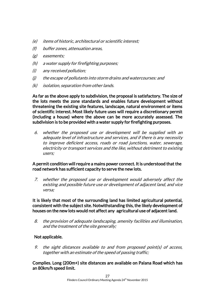- (e) items of historic, architectural or scientific interest;
- (f) buffer zones, attenuation areas,
- (g) easements;
- (h) a water supply for firefighting purposes;
- (i) any received pollution;
- (j) the escape of pollutants into storm drains and watercourses: and
- (k) isolation, separation from other lands.

As far as the above apply to subdivision, the proposal is satisfactory. The size of the lots meets the zone standards and enables future development without threatening the existing site features, landscape, natural environment or items of scientific interest. Most likely future uses will require a discretionary permit (including a house) where the above can be more accurately assessed. The subdivision is to be provided with a water supply for firefighting purposes.

6. whether the proposed use or development will be supplied with an adequate level of infrastructure and services, and if there is any necessity to improve deficient access, roads or road junctions, water, sewerage, electricity or transport services and the like, without detriment to existing users;

#### A permit condition will require a mains power connect. It is understood that the road network has sufficient capacity to serve the new lots.

7. whether the proposed use or development would adversely affect the existing and possible future use or development of adjacent land, and vice versa;

It is likely that most of the surrounding land has limited agricultural potential, consistent with the subject site. Notwithstanding this, the likely development of houses on the new lots would not affect any agricultural use of adjacent land.

8. the provision of adequate landscaping, amenity facilities and illumination, and the treatment of the site generally;

#### Not applicable.

9. the sight distances available to and from proposed point(s) of access, together with an estimate of the speed of passing traffic;

Complies. Long (200m+) site distances are available on Palana Road which has an 80km/h speed limit.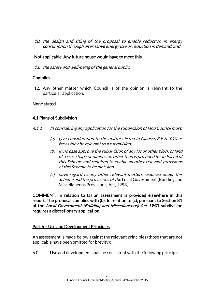10. the design and siting of the proposal to enable reduction in energy consumption through alternative energy use or reduction in demand; and

#### Not applicable. Any future house would have to meet this.

11. the safety and well-being of the general public.

#### Complies.

12. Any other matter which Council is of the opinion is relevant to the particular application.

#### None stated.

#### 4.1 Plans of Subdivision

- 4.1.1 In considering any application for the subdivision of land Council must:
	- (a) give consideration to the matters listed in Clauses 3.9  $\&$  3.10 as far as they be relevant to a subdivision;
	- (b) in no case approve the subdivision of any lot or other block of land of a size, shape or dimension other than is provided for in Part 6 of this Scheme and required to enable all other relevant provisions of this Scheme to be met; and
	- (c) have regard to any other relevant matters required under this Scheme and the provisions of the Local Government (Building and Miscellaneous Provisions) Act, 1993;

COMMENT: In relation to (a) an assessment is provided elsewhere in this report. The proposal complies with (b). In relation to (c), pursuant to Section 81 of the Local Government (Building and Miscellaneous) Act 1993, subdivision requires a discretionary application.

#### Part 6 – Use and Development Principles

An assessment is made below against the relevant principles (those that are not applicable have been omitted for brevity):

6.0 Use and development shall be consistent with the following principles: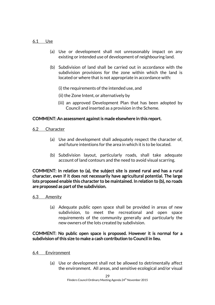#### 6.1 Use

- (a) Use or development shall not unreasonably impact on any existing or intended use of development of neighbouring land.
- (b) Subdivision of land shall be carried out in accordance with the subdivision provisions for the zone within which the land is located or where that is not appropriate in accordance with:

(i) the requirements of the intended use, and

- (ii) the Zone Intent, or alternatively by
- (iii) an approved Development Plan that has been adopted by Council and inserted as a provision in the Scheme.

#### COMMENT: An assessment against is made elsewhere in this report.

6.2 Character

- (a) Use and development shall adequately respect the character of, and future intentions for the area in which it is to be located.
- (b) Subdivision layout, particularly roads, shall take adequate account of land contours and the need to avoid visual scarring.

COMMENT: In relation to (a), the subject site is zoned rural and has a rural character, even if it does not necessarily have agricultural potential. The large lots proposed enable this character to be maintained. In relation to (b), no roads are proposed as part of the subdivision.

#### 6.3 Amenity

(a) Adequate public open space shall be provided in areas of new subdivision, to meet the recreational and open space requirements of the community generally and particularly the new owners of the lots created by subdivision.

#### COMMENT: No public open space is proposed. However it is normal for a subdivision of this size to make a cash contribution to Council in lieu.

- 6.4 Environment
	- (a) Use or development shall not be allowed to detrimentally affect the environment. All areas, and sensitive ecological and/or visual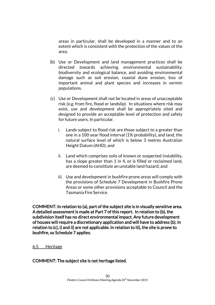areas in particular, shall be developed in a manner and to an extent which is consistent with the protection of the values of the area.

- (b) Use or Development and land management practices shall be directed towards achieving environmental sustainability, biodiversity and ecological balance, and avoiding environmental damage such as soil erosion, coastal dune erosion, loss of important animal and plant species and increases in vermin populations.
- (c) Use or Development shall not be located in areas of unacceptable risk (e.g. from fire, flood or landslip). In situations where risk may exist, use and development shall be appropriately sited and designed to provide an acceptable level of protection and safety for future users. In particular.
	- i. Lands subject to flood risk are those subject to a greater than one in a 100 year flood interval (1% probability), and land, the natural surface level of which is below 3 metres Australian Height Datum (AHD); and
	- ii. Land which comprises soils of known or suspected instability, has a slope greater than 1 in 4, or is filled or reclaimed land, are deemed to constitute an unstable land hazard; and
	- iii. Use and development in bushfire prone areas will comply with the provisions of Schedule 7 Development in Bushfire Prone Areas or some other provisions acceptable to Council and the Tasmania Fire Service.

COMMENT: In relation to (a), part of the subject site is in visually sensitive area. A detailed assessment is made at Part 7 of this report. In relation to (b), the subdivision itself has no direct environmental impact. Any future development of houses will require a discretionary application and will have to address (b). In relation to (c), i) and ii) are not applicable. In relation to iii), the site is prone to bushfire, so Schedule 7 applies.

#### 6.5 Heritage

#### COMMENT: The subject site is not heritage listed.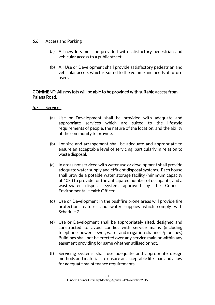#### 6.6 Access and Parking

- (a) All new lots must be provided with satisfactory pedestrian and vehicular access to a public street.
- (b) All Use or Development shall provide satisfactory pedestrian and vehicular access which is suited to the volume and needs of future users.

#### COMMENT: All new lots will be able to be provided with suitable access from Palana Road.

#### 6.7 Services

- (a) Use or Development shall be provided with adequate and appropriate services which are suited to the lifestyle requirements of people, the nature of the location, and the ability of the community to provide.
- (b) Lot size and arrangement shall be adequate and appropriate to ensure an acceptable level of servicing, particularly in relation to waste disposal.
- (c) In areas not serviced with water use or development shall provide adequate water supply and effluent disposal systems. Each house shall provide a potable water storage facility (minimum capacity of 40kl) to provide for the anticipated number of occupants, and a wastewater disposal system approved by the Council's Environmental Health Officer
- (d) Use or Development in the bushfire prone areas will provide fire protection features and water supplies which comply with Schedule 7.
- (e) Use or Development shall be appropriately sited, designed and constructed to avoid conflict with service mains (including telephone, power, sewer, water and irrigation channels/pipelines). Buildings shall not be erected over any service main or within any easement providing for same whether utilised or not.
- (f) Servicing systems shall use adequate and appropriate design methods and materials to ensure an acceptable life span and allow for adequate maintenance requirements.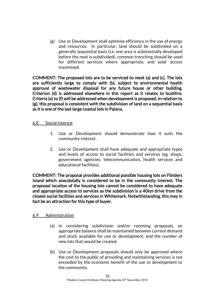(g) Use or Development shall optimise efficiency in the use of energy and resources. In particular, land should be subdivided on a generally sequential basis (i.e. one area is substantially developed before the next is subdivided), common trenching should be used for different services where appropriate, and solar access maximised.

COMMENT: The proposed lots are to be serviced to meet (a) and (c). The lots are sufficiently large to comply with (b), subject to environmental health approval of wastewater disposal for any future house or other building. Criterion (d) is addressed elsewhere in this report as it relates to bushfire. Criteria (e) to (f) will be addressed when development is proposed. In relation to (g), this proposal is consistent with the subdivision of land on a sequential basis as it is one of the last large coastal lots in Palana.

#### 6.8 Social Interest

- 1. Use or Development should demonstrate how it suits the community interest.
- 2. Use or Development shall have adequate and appropriate types and levels of access to social facilities and services (eg. shops, government agencies, telecommunication, health services and educational facilities).

COMMENT: The proposal provides additional possible housing lots on Flinders Island which anecdotally is considered to be in the community interest. The proposed location of the housing lots cannot be considered to have adequate and appropriate access to services as the subdivision is a 40km drive from the closest social facilities and services in Whitemark. Notwithstanding, this may in fact be an attraction for this type of buyer.

#### 6.9 Administration

- (a) In considering subdivision and/or rezoning proposals, an appropriate balance shall be maintained between current demand and stock available for use or development, and the number of new lots that would be created.
- (b) Use or Development proposals should only be approved where the cost to the public of providing and maintaining services is not exceeded by the economic benefit of the use or development to the community.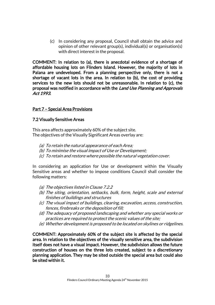(c) In considering any proposal, Council shall obtain the advice and opinion of other relevant group(s), individual(s) or organisation(s) with direct interest in the proposal.

COMMENT: In relation to (a), there is anecdotal evidence of a shortage of affordable housing lots on Flinders Island. However, the majority of lots in Palana are undeveloped. From a planning perspective only, there is not a shortage of vacant lots in the area. In relation to (b), the cost of providing services to the new lots should not be unreasonable. In relation to (c), the proposal was notified in accordance with the Land Use Planning and Approvals Act 1993.

#### Part 7 – Special Area Provisions

#### 7.2 Visually Sensitive Areas

This area affects approximately 60% of the subject site. The objectives of the Visually Significant Areas overlay are:

- (a) To retain the natural appearance of each Area;
- (b) To minimise the visual impact of Use or Development;
- (c) To retain and restore where possible the natural vegetation cover.

In considering an application for Use or development within the Visually Sensitive areas and whether to impose conditions Council shall consider the following matters:

- (a) The objectives listed in Clause 7.2.2
- (b) The siting, orientation, setbacks, bulk, form, height, scale and external finishes of buildings and structures
- (c) The visual impact of buildings, clearing, excavation, access, construction, fences, firebreaks or the deposition of fill;
- (d) The adequacy of proposed landscaping and whether any special works or practices are required to protect the scenic values of the site;
- (e) Whether development is proposed to be located on skylines or ridgelines.

COMMENT: Approximately 60% of the subject site is affected by the special area. In relation to the objectives of the visually sensitive area, the subdivision itself does not have a visual impact. However, the subdivision allows the future construction of houses on the three lots created, subject to a discretionary planning application. They may be sited outside the special area but could also be sited within it.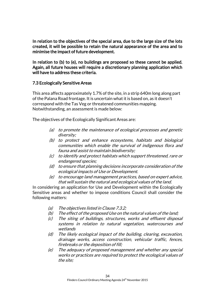In relation to the objectives of the special area, due to the large size of the lots created, it will be possible to retain the natural appearance of the area and to minimise the impact of future development.

In relation to (b) to (e), no buildings are proposed so these cannot be applied. Again, all future houses will require a discretionary planning application which will have to address these criteria.

#### 7.3 Ecologically Sensitive Areas

This area affects approximately 1.7% of the site, in a strip 640m long along part of the Palana Road frontage. It is uncertain what it is based on, as it doesn't correspond with the Tas Veg or threatened communities mapping. Notwithstanding, an assessment is made below:

The objectives of the Ecologically Significant Areas are:

- (a) to promote the maintenance of ecological processes and genetic diversity;
- (b) to protect and enhance ecosystems, habitats and biological communities which enable the survival of indigenous flora and fauna and assist to maintain biodiversity;
- (c) to identify and protect habitats which support threatened, rare or endangered species;
- (d) to ensure that planning decisions incorporate consideration of the ecological impacts of Use or Development.
- (e) to encourage land management practices, based on expert advice, that will sustain the natural and ecological values of the land.

In considering an application for Use and Development within the Ecologically Sensitive areas and whether to impose conditions Council shall consider the following matters:

- (a) The objectives listed in Clause 7.3.2;
- (b) The effect of the proposed Use on the natural values of the land;
- (c) The siting of buildings, structures, works and effluent disposal systems in relation to natural vegetation, watercourses and wetlands
- (d) The likely ecological impact of the building, clearing, excavation, drainage works, access construction, vehicular traffic, fences, firebreaks or the deposition of fill;
- (e) The adequacy of proposed management and whether any special works or practices are required to protect the ecological values of the site;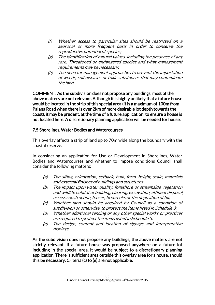- (f) Whether access to particular sites should be restricted on a seasonal or more frequent basis in order to conserve the reproductive potential of species;
- $(g)$  The identification of natural values, including the presence of any rare. Threatened or endangered species and what management requirements may be necessary;
- (h) The need for management approaches to prevent the importation of weeds, soil diseases or toxic substances that may contaminate the land.

COMMENT: As the subdivision does not propose any buildings, most of the above matters are not relevant. Although it is highly unlikely that a future house would be located in the strip of this special area (it is a maximum of 100m from Palana Road when there is over 2km of more desirable lot depth towards the coast), it may be prudent, at the time of a future application, to ensure a house is not located here. A discretionary planning application will be needed for house.

#### 7.5 Shorelines, Water Bodies and Watercourses

This overlay affects a strip of land up to 70m wide along the boundary with the coastal reserve.

In considering an application for Use or Development in Shorelines, Water Bodies and Watercourses and whether to impose conditions Council shall consider the following matters:

- (a) The siting, orientation, setback, bulk, form, height, scale, materials and external finishes of buildings and structures
- (b) The impact upon water quality, foreshore or streamside vegetation and wildlife habitat of building, clearing, excavation, effluent disposal, access construction, fences, firebreaks or the deposition of fill;
- (c) Whether land should be acquired by Council as a condition of subdivision or otherwise, to protect the items listed in Schedule 3;
- (d) Whether additional fencing or any other special works or practices are required to protect the items listed in Schedule 3;
- (e) The design, content and location of signage and interpretative displays.

As the subdivision does not propose any buildings, the above matters are not strictly relevant. If a future house was proposed anywhere on a future lot including in the special area, it would be subject to a discretionary planning application. There is sufficient area outside this overlay area for a house, should this be necessary. Criteria (c) to (e) are not applicable.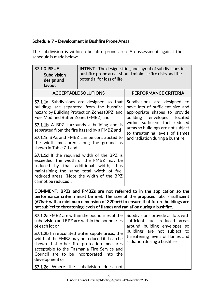### Schedule 7 – Development in Bushfire Prone Areas

The subdivision is within a bushfire prone area. An assessment against the schedule is made below:

| <b>S7.1.0 ISSUE</b><br>Subdivision<br>design and<br>layout                                                                                                                                                                                                                                                              | <b>INTENT</b> - The design, siting and layout of subdivisions in<br>bushfire prone areas should minimise fire risks and the<br>potential for loss of life. |                                                                                                                                                                      |
|-------------------------------------------------------------------------------------------------------------------------------------------------------------------------------------------------------------------------------------------------------------------------------------------------------------------------|------------------------------------------------------------------------------------------------------------------------------------------------------------|----------------------------------------------------------------------------------------------------------------------------------------------------------------------|
|                                                                                                                                                                                                                                                                                                                         | <b>ACCEPTABLE SOLUTIONS</b>                                                                                                                                | PERFORMANCE CRITERIA                                                                                                                                                 |
| <b>S7.1.1a</b> Subdivisions are designed so that<br>buildings are separated from the bushfire<br>hazard by Building Protection Zones (BPZ) and<br>Fuel Modified Buffer Zones (FMBZ) and<br><b>S7.1.1b</b> A BPZ surrounds a building and is                                                                             |                                                                                                                                                            | Subdivisions are designed to<br>have lots of sufficient size and<br>appropriate shapes to provide<br>building envelopes<br>located<br>within sufficient fuel reduced |
|                                                                                                                                                                                                                                                                                                                         | separated from the fire hazard by a FMBZ and                                                                                                               | areas so buildings are not subject<br>to threatening levels of flames                                                                                                |
| <b>S7.1.1c</b> BPZ and FMBZ can be constructed to<br>the width measured along the ground as<br>shown in Table 7.1 and                                                                                                                                                                                                   |                                                                                                                                                            | and radiation during a bushfire.                                                                                                                                     |
| S7.1.1d If the required width of the BPZ is<br>exceeded, the width of the FMBZ may be<br>reduced by that additional width,<br>thus<br>maintaining the same total width of fuel<br>reduced areas. (Note the width of the BPZ<br>cannot be reduced).                                                                      |                                                                                                                                                            |                                                                                                                                                                      |
| COMMENT: BPZs and FMBZs are not referred to in the application so the<br>performance criteria must be met. The size of the proposed lots is sufficient<br>(67ha+ with a minimum dimension of 320m+) to ensure that future buildings are<br>not subject to threatening levels of flames and radiation during a bushfire. |                                                                                                                                                            |                                                                                                                                                                      |
| <b>S7.1.2a</b> FMBZ are within the boundaries of the<br>subdivision and BPZ are within the boundaries<br>of each lot or                                                                                                                                                                                                 |                                                                                                                                                            | Subdivisions provide all lots with<br>sufficient fuel reduced areas<br>around building envelopes so                                                                  |
| <b>S7.1.2b</b> In reticulated water supply areas, the<br>width of the FMBZ may be reduced if it can be<br>shown that other fire protection measures<br>acceptable to the Tasmania Fire Service and<br>Council are to be incorporated into the<br>development or<br>the subdivision does not                             |                                                                                                                                                            | buildings are not subject to<br>threatening levels of flames and<br>radiation during a bushfire.                                                                     |
| S7.1.2c Where                                                                                                                                                                                                                                                                                                           |                                                                                                                                                            |                                                                                                                                                                      |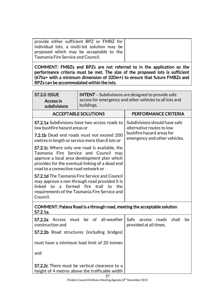| provide either sufficient BPZ or FMBZ for    |  |
|----------------------------------------------|--|
| individual lots, a multi-lot solution may be |  |
| proposed which may be acceptable to the      |  |
| Tasmania Fire Service and Council.           |  |
|                                              |  |

COMMENT: FMBZs and BPZs are not referred to in the application so the performance criteria must be met. The size of the proposed lots is sufficient (67ha+ with a minimum dimension of 320m+) to ensure that future FMBZs and BPZs can be accommodated within the lots.

| <b>S7.2.0 ISSUE</b><br>Access in<br>subdivisions                                                                                                                                                                                                                                                                                                                                                                                                                                                                                                                                                                                                       | <b>INTENT</b> - Subdivisions are designed to provide safe<br>access for emergency and other vehicles to all lots and<br>buildings. |                                                                                                                          |  |
|--------------------------------------------------------------------------------------------------------------------------------------------------------------------------------------------------------------------------------------------------------------------------------------------------------------------------------------------------------------------------------------------------------------------------------------------------------------------------------------------------------------------------------------------------------------------------------------------------------------------------------------------------------|------------------------------------------------------------------------------------------------------------------------------------|--------------------------------------------------------------------------------------------------------------------------|--|
| <b>ACCEPTABLE SOLUTIONS</b>                                                                                                                                                                                                                                                                                                                                                                                                                                                                                                                                                                                                                            |                                                                                                                                    | PERFORMANCE CRITERIA                                                                                                     |  |
| <b>S7.2.1a</b> Subdivisions have two access roads to<br>low bushfire hazard areas or<br>7.2.1b Dead end roads must not exceed 200<br>metres in length or service more than 8 lots or<br><b>S7.2.1c</b> Where only one road is available, the<br>Tasmania Fire Service and Council may<br>approve a local area development plan which<br>provides for the eventual linking of a dead end<br>road to a connective road network or<br><b>S7.2.1d</b> The Tasmania Fire Service and Council<br>may approve a non through road provided it is<br>formed fire trail<br>linked to a<br>to<br>the<br>requirements of the Tasmania Fire Service and<br>Council. |                                                                                                                                    | Subdivisions should have safe<br>alternative routes to low<br>bushfire hazard areas for<br>emergency and other vehicles. |  |
| COMMENT: Palana Road is a through road, meeting the acceptable solution<br>S7.2.1a.                                                                                                                                                                                                                                                                                                                                                                                                                                                                                                                                                                    |                                                                                                                                    |                                                                                                                          |  |
| S7.2.2a<br>Access<br>must<br>construction and                                                                                                                                                                                                                                                                                                                                                                                                                                                                                                                                                                                                          | of all-weather<br>be<br><b>S7.2.2b</b> Road structures (including bridges)                                                         | shall<br>Safe<br>be<br>roads<br>access<br>provided at all times.                                                         |  |
| must have a minimum load limit of 20 tonnes<br>and                                                                                                                                                                                                                                                                                                                                                                                                                                                                                                                                                                                                     |                                                                                                                                    |                                                                                                                          |  |
| <b>S7.2.2c</b> There must be vertical clearance to a<br>height of 4 metres above the trafficable width                                                                                                                                                                                                                                                                                                                                                                                                                                                                                                                                                 |                                                                                                                                    |                                                                                                                          |  |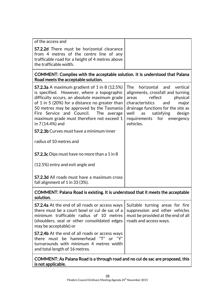| of the access and                                                                                                                                                                                                                                                                                                                                                                                                            |                                                                                                                                                                                                                                                                   |
|------------------------------------------------------------------------------------------------------------------------------------------------------------------------------------------------------------------------------------------------------------------------------------------------------------------------------------------------------------------------------------------------------------------------------|-------------------------------------------------------------------------------------------------------------------------------------------------------------------------------------------------------------------------------------------------------------------|
| <b>S7.2.2d</b> There must be horizontal clearance<br>from 4 metres of the centre line of any<br>trafficable road for a height of 4 metres above<br>the trafficable width.                                                                                                                                                                                                                                                    |                                                                                                                                                                                                                                                                   |
| COMMENT: Complies with the acceptable solution. It is understood that Palana<br>Road meets the acceptable solution.                                                                                                                                                                                                                                                                                                          |                                                                                                                                                                                                                                                                   |
| <b>S7.2.3a</b> A maximum gradient of 1 in 8 $(12.5%)$<br>is specified. However, where a topographic<br>difficulty occurs, an absolute maximum grade<br>of 1 in 5 (20%) for a distance no greater than<br>50 metres may be approved by the Tasmania<br>Fire Service and Council. The average<br>maximum grade must therefore not exceed 1<br>in 7 (14.4%) and                                                                 | <b>The</b><br>horizontal and vertical<br>alignments, crossfall and turning<br>areas<br>reflect<br>physical<br>characteristics<br>and<br>major<br>drainage functions for the site as<br>well as satisfying<br>design<br>requirements for<br>emergency<br>vehicles. |
| <b>S7.2.3b</b> Curves must have a minimum inner                                                                                                                                                                                                                                                                                                                                                                              |                                                                                                                                                                                                                                                                   |
| radius of 10 metres and                                                                                                                                                                                                                                                                                                                                                                                                      |                                                                                                                                                                                                                                                                   |
| <b>S7.2.3c</b> Dips must have no more than a 1 in 8                                                                                                                                                                                                                                                                                                                                                                          |                                                                                                                                                                                                                                                                   |
| (12.5%) entry and exit angle and                                                                                                                                                                                                                                                                                                                                                                                             |                                                                                                                                                                                                                                                                   |
| <b>S7.2.3d All roads must have a maximum cross</b><br>fall alignment of 1 in 33 (3%).                                                                                                                                                                                                                                                                                                                                        |                                                                                                                                                                                                                                                                   |
| $\mathbf{A} = \mathbf{A} + \mathbf{B} + \mathbf{B} + \mathbf{B} + \mathbf{B} + \mathbf{B} + \mathbf{B} + \mathbf{B} + \mathbf{B} + \mathbf{B} + \mathbf{B} + \mathbf{B} + \mathbf{B} + \mathbf{B} + \mathbf{B} + \mathbf{B} + \mathbf{B} + \mathbf{B} + \mathbf{B} + \mathbf{B} + \mathbf{B} + \mathbf{B} + \mathbf{B} + \mathbf{B} + \mathbf{B} + \mathbf{B} + \mathbf{B} + \mathbf{B} + \mathbf{B} + \mathbf{B} + \mathbf$ |                                                                                                                                                                                                                                                                   |

#### COMMENT: Palana Road is existing. It is understood that it meets the acceptable solution.

| <b>S7.2.4a</b> At the end of all roads or access ways<br>there must be a court bowl or cul de sac of a<br>minimum trafficable radius of 10 metres<br>(shoulders, seal or other consolidated edges)<br>may be acceptable) or | Suitable turning areas for fire<br>suppression and other vehicles<br>must be provided at the end of all<br>roads and access ways. |
|-----------------------------------------------------------------------------------------------------------------------------------------------------------------------------------------------------------------------------|-----------------------------------------------------------------------------------------------------------------------------------|
| <b>S7.2.4b</b> At the end of all roads or access ways<br>there must be hammerhead "T" or "Y"<br>turnarounds with minimum 4 metres width<br>and total length of 16 metres.                                                   |                                                                                                                                   |

#### COMMENT: As Palana Road is a through road and no cul de sac are proposed, this is not applicable.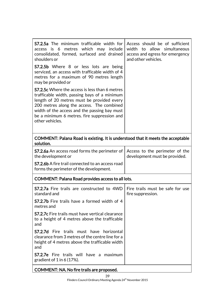| <b>S7.2.5a</b> The minimum trafficable width for<br>access is 6<br>metres which may<br>include<br>consolidated, formed, surfaced and drained<br>shoulders or                                                                                                                                                       | Access should be of sufficient<br>width to allow simultaneous<br>access and egress for emergency<br>and other vehicles. |  |
|--------------------------------------------------------------------------------------------------------------------------------------------------------------------------------------------------------------------------------------------------------------------------------------------------------------------|-------------------------------------------------------------------------------------------------------------------------|--|
| S7.2.5b Where 8 or less lots are being<br>serviced, an access with trafficable width of 4<br>metres for a maximum of 90 metres length<br>may be provided or                                                                                                                                                        |                                                                                                                         |  |
| <b>S7.2.5c</b> Where the access is less than 6 metres<br>trafficable width, passing bays of a minimum<br>length of 20 metres must be provided every<br>200 metres along the access. The combined<br>width of the access and the passing bay must<br>be a minimum 6 metres. fire suppression and<br>other vehicles. |                                                                                                                         |  |
| COMMENT: Palana Road is existing. It is understood that it meets the acceptable<br>solution.                                                                                                                                                                                                                       |                                                                                                                         |  |
| <b>S7.2.6a</b> An access road forms the perimeter of<br>the development or                                                                                                                                                                                                                                         | Access to the perimeter of the<br>development must be provided.                                                         |  |
| <b>S7.2.6b</b> A fire trail connected to an access road<br>forms the perimeter of the development.                                                                                                                                                                                                                 |                                                                                                                         |  |
| <b>COMMENT: Palana Road provides access to all lots.</b>                                                                                                                                                                                                                                                           |                                                                                                                         |  |

| <b>S7.2.7a</b> Fire trails are constructed to 4WD<br>standard and                                                                                            | Fire trails must be safe for use<br>fire suppression. |
|--------------------------------------------------------------------------------------------------------------------------------------------------------------|-------------------------------------------------------|
| <b>S7.2.7b</b> Fire trails have a formed width of 4<br>metres and                                                                                            |                                                       |
| <b>S7.2.7c</b> Fire trails must have vertical clearance<br>to a height of 4 metres above the trafficable<br>and                                              |                                                       |
| <b>S7.2.7d</b> Fire trails must have horizontal<br>clearance from 3 metres of the centre line for a<br>height of 4 metres above the trafficable width<br>and |                                                       |
| <b>S7.2.7e</b> Fire trails will have a maximum<br>gradient of $1$ in 6 (17%).                                                                                |                                                       |
| <b>COMMENT: NA. No fire trails are proposed.</b>                                                                                                             |                                                       |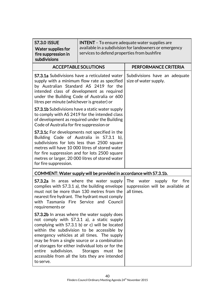| <b>S7.3.0 ISSUE</b><br><b>Water supplies for</b><br>fire suppression in<br>subdivisions                                                                                                                                                                                                                                                                                                                                                                               | services to defend properties from bushfire                        | <b>INTENT</b> - To ensure adequate water supplies are<br>available in a subdivision for landowners or emergency |
|-----------------------------------------------------------------------------------------------------------------------------------------------------------------------------------------------------------------------------------------------------------------------------------------------------------------------------------------------------------------------------------------------------------------------------------------------------------------------|--------------------------------------------------------------------|-----------------------------------------------------------------------------------------------------------------|
|                                                                                                                                                                                                                                                                                                                                                                                                                                                                       | <b>ACCEPTABLE SOLUTIONS</b>                                        | PERFORMANCE CRITERIA                                                                                            |
| <b>S7.3.1a</b> Subdivisions have a reticulated water<br>supply with a minimum flow rate as specified<br>by Australian Standard AS 2419 for the<br>intended class of development as required<br>under the Building Code of Australia or 600<br>litres per minute (whichever is greater) or                                                                                                                                                                             |                                                                    | Subdivisions have an adequate<br>size of water supply.                                                          |
| <b>S7.3.1b</b> Subdivisions have a static water supply<br>to comply with AS 2419 for the intended class<br>of development as required under the Building<br>Code of Australia for fire suppression or                                                                                                                                                                                                                                                                 |                                                                    |                                                                                                                 |
| <b>S7.3.1c</b> For developments not specified in the<br>Building Code of Australia in S7.3.1 b),<br>subdivisions for lots less than 2500 square<br>metres will have 10 000 litres of stored water<br>for fire suppression and for lots 2500 square<br>metres or larger, 20 000 litres of stored water<br>for fire suppression.                                                                                                                                        |                                                                    |                                                                                                                 |
|                                                                                                                                                                                                                                                                                                                                                                                                                                                                       | COMMENT: Water supply will be provided in accordance with S7.3.1b. |                                                                                                                 |
| <b>S7.3.2a</b> In areas where the water supply<br>complies with S7.3.1 a), the building envelope<br>must not be more than 130 metres from the<br>nearest fire hydrant. The hydrant must comply<br>with Tasmania Fire Service and Council<br>requirements or                                                                                                                                                                                                           |                                                                    | <b>The</b><br>water<br>supply<br>for<br>fire<br>suppression will be available at<br>all times.                  |
| <b>S7.3.2b</b> In areas where the water supply does<br>not comply with S7.3.1 a), a static supply<br>complying with S7.3.1 b) or c) will be located<br>within the subdivision to be accessible by<br>emergency vehicles at all times. The supply<br>may be from a single source or a combination<br>of storages for either individual lots or for the<br>subdivision.<br>entire<br>Storages must<br>be<br>accessible from all the lots they are intended<br>to serve. |                                                                    |                                                                                                                 |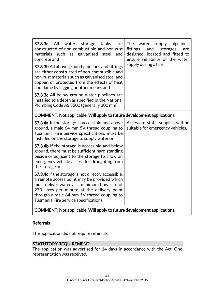| - All<br>S7.3.3a<br>water<br>storage<br>tanks<br>are<br>constructed of non-combustible and non-rust<br>materials such as galvanised steel<br>and<br>concrete and<br>S7.3.3b All above ground pipelines and fittings<br>are either constructed of non-combustible and<br>non-rust materials such as galvanised steel and<br>copper, or protected from the effects of heat<br>and flame by lagging or other means and | The<br>water<br>supply pipelines,<br>fittings<br>and<br>storages<br>are<br>designed, located and fitted to<br>ensure reliability of the water<br>supply during a fire. |
|---------------------------------------------------------------------------------------------------------------------------------------------------------------------------------------------------------------------------------------------------------------------------------------------------------------------------------------------------------------------------------------------------------------------|------------------------------------------------------------------------------------------------------------------------------------------------------------------------|
| S7.3.3c All below-ground water pipelines are<br>installed to a depth as specified in the National<br>Plumbing Code AS 3500 (generally 300 mm).                                                                                                                                                                                                                                                                      |                                                                                                                                                                        |
| COMMENT: Not applicable. Will apply to future development applications.                                                                                                                                                                                                                                                                                                                                             |                                                                                                                                                                        |
| <b>S7.3.4a</b> If the storage is accessible and above<br>ground, a male 64 mm 5V thread coupling to<br>Tasmania Fire Service specifications must be<br>installed on the storage to supply water or                                                                                                                                                                                                                  | Access to static supplies will be<br>suitable for emergency vehicles.                                                                                                  |
| <b>S7.3.4b</b> If the storage is accessible and below<br>ground, there must be sufficient hard standing<br>beside or adjacent to the storage to allow an<br>emergency vehicle access for draughting from<br>the storage or                                                                                                                                                                                          |                                                                                                                                                                        |
| <b>S7.3.4c</b> If the storage is not directly accessible,<br>a remote access point may be provided which<br>must deliver water at a minimum flow rate of<br>270 litres per minute at the delivery point<br>through a male 64 mm 5V thread coupling to<br>Tasmania Fire Service specifications.                                                                                                                      |                                                                                                                                                                        |
| $\mathbf{P}$ . The same is a set of the set of $\mathbf{P}$                                                                                                                                                                                                                                                                                                                                                         |                                                                                                                                                                        |

#### COMMENT: Not applicable. Will apply to future development applications.

### **Referrals**

The application did not require referrals.

#### STATUTORY REQUIREMENT:

The application was advertised for 14 days in accordance with the Act. One representation was received.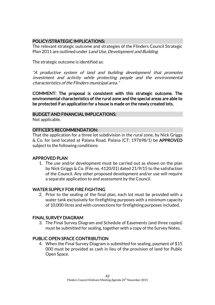### POLICY/STRATEGIC IMPLICATIONS:

The relevant strategic outcome and strategies of the Flinders Council Strategic Plan 2011 are outlined under Land Use, Development and Building.

The strategic outcome is identified as:

"A productive system of land and building development that promotes investment and activity while protecting people and the environmental characteristics of the Flinders municipal area."

COMMENT: The proposal is consistent with this strategic outcome. The environmental characteristics of the rural zone and the special areas are able to be protected if an application for a house is made on the newly created lots.

#### BUDGET AND FINANCIAL IMPLICATIONS:

Not applicable.

#### OFFICER'S RECOMMENDATION:

That the application for a three lot subdivision in the rural zone, by Nick Griggs & Co. for land located at Palana Road, Palana (CT: 197698/1) be APPROVED subject to the following conditions:

#### APPROVED PLAN

1. The use and/or development must be carried out as shown on the plan by Nick Griggs & Co. (File no. 4120/01) dated 21/9/15 to the satisfaction of the Council. Any other proposed development and/or use will require a separate application to and assessment by the Council.

#### WATER SUPPLY FOR FIRE FIGHTING

2. Prior to the sealing of the final plan, each lot must be provided with a water tank exclusively for firefighting purposes with a minimum capacity of 10,000 litres and with connections for firefighting purposes included.

#### FINAL SURVEY DIAGRAM

3. The Final Survey Diagram and Schedule of Easements (and three copies) must be submitted for sealing, together with a copy of the Survey Notes.

#### PUBLIC OPEN SPACE CONTRIBUTION

4. When the Final Survey Diagram is submitted for sealing, payment of \$15 000 must be provided as cash in lieu of the provision of land for Public Open Space.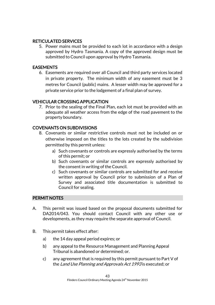#### RETICULATED SERVICES

5. Power mains must be provided to each lot in accordance with a design approved by Hydro Tasmania. A copy of the approved design must be submitted to Council upon approval by Hydro Tasmania.

#### EASEMENTS

6. Easements are required over all Council and third party services located in private property. The minimum width of any easement must be 3 metres for Council (public) mains. A lesser width may be approved for a private service prior to the lodgement of a final plan of survey.

### VEHICULAR CROSSING APPLICATION

7. Prior to the sealing of the Final Plan, each lot must be provided with an adequate all weather access from the edge of the road pavement to the property boundary.

### COVENANTS ON SUBDIVISIONS

- 8. Covenants or similar restrictive controls must not be included on or otherwise imposed on the titles to the lots created by the subdivision permitted by this permit unless:
	- a) Such covenants or controls are expressly authorised by the terms of this permit; or
	- b) Such covenants or similar controls are expressly authorised by the consent in writing of the Council.
	- c) Such covenants or similar controls are submitted for and receive written approval by Council prior to submission of a Plan of Survey and associated title documentation is submitted to Council for sealing.

### PERMIT NOTES

- A. This permit was issued based on the proposal documents submitted for DA2014/043. You should contact Council with any other use or developments, as they may require the separate approval of Council.
- B. This permit takes effect after:
	- a) the 14 day appeal period expires; or
	- b) any appeal to the Resource Management and Planning Appeal Tribunal is abandoned or determined; or.
	- c) any agreement that is required by this permit pursuant to Part V of the Land Use Planning and Approvals Act 1993 is executed; or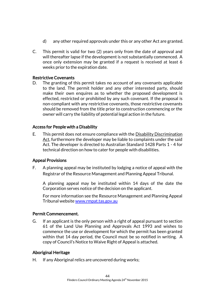- d) any other required approvals under this or any other Act are granted.
- C. This permit is valid for two (2) years only from the date of approval and will thereafter lapse if the development is not substantially commenced. A once only extension may be granted if a request is received at least 6 weeks prior to the expiration date.

#### Restrictive Covenants

D. The granting of this permit takes no account of any covenants applicable to the land. The permit holder and any other interested party, should make their own enquires as to whether the proposed development is effected, restricted or prohibited by any such covenant. If the proposal is non-compliant with any restrictive covenants, those restrictive covenants should be removed from the title prior to construction commencing or the owner will carry the liability of potential legal action in the future.

#### Access for People with a Disability

E. This permit does not ensure compliance with the Disability Discrimination Act, furthermore the developer may be liable to complaints under the said Act. The developer is directed to Australian Standard 1428 Parts 1 - 4 for technical direction on how to cater for people with disabilities.

#### Appeal Provisions

F. A planning appeal may be instituted by lodging a notice of appeal with the Registrar of the Resource Management and Planning Appeal Tribunal.

A planning appeal may be instituted within 14 days of the date the Corporation serves notice of the decision on the applicant.

For more information see the Resource Management and Planning Appeal Tribunal websit[e www.rmpat.tas.gov.au](http://www.rmpat.tas.gov.au/)

#### Permit Commencement.

G. If an applicant is the only person with a right of appeal pursuant to section 61 of the Land Use Planning and Approvals Act 1993 and wishes to commence the use or development for which the permit has been granted within that 14 day period, the Council must be so notified in writing. A copy of Council's Notice to Waive Right of Appeal is attached.

#### Aboriginal Heritage

H. If any Aboriginal relics are uncovered during works;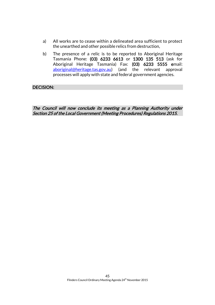- a) All works are to cease within a delineated area sufficient to protect the unearthed and other possible relics from destruction,
- b) The presence of a relic is to be reported to Aboriginal Heritage Tasmania Phone: (03) 6233 6613 or 1300 135 513 (ask for Aboriginal Heritage Tasmania) Fax: (03) 6233 5555 email: [aboriginal@heritage.tas.gov.au\)](mailto:aboriginal@heritage.tas.gov.au) (and the relevant approval processes will apply with state and federal government agencies.

DECISION:

The Council will now conclude its meeting as a Planning Authority under Section 25 of the Local Government (Meeting Procedures) Regulations 2015.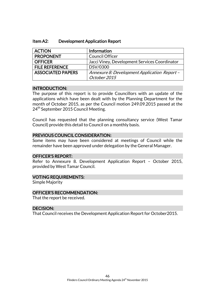| Item A2: | <b>Development Application Report</b> |
|----------|---------------------------------------|
|----------|---------------------------------------|

| <b>ACTION</b>            | Information                                   |
|--------------------------|-----------------------------------------------|
| <b>PROPONENT</b>         | <b>Council Officer</b>                        |
| <b>OFFICER</b>           | Jacci Viney, Development Services Coordinator |
| <b>FILE REFERENCE</b>    | DSV/0300                                      |
| <b>ASSOCIATED PAPERS</b> | Annexure 8: Development Application Report -  |
|                          | October 2015                                  |

#### INTRODUCTION:

The purpose of this report is to provide Councillors with an update of the applications which have been dealt with by the Planning Department for the month of October 2015, as per the Council motion 249.09.2015 passed at the 24<sup>th</sup> September 2015 Council Meeting.

Council has requested that the planning consultancy service (West Tamar Council) provide this detail to Council on a monthly basis.

#### PREVIOUS COUNCIL CONSIDERATION:

Some items may have been considered at meetings of Council while the remainder have been approved under delegation by the General Manager.

#### OFFICER'S REPORT:

Refer to Annexure 8. Development Application Report – October 2015, provided by West Tamar Council.

#### VOTING REQUIREMENTS:

Simple Majority

#### OFFICER'S RECOMMENDATION:

That the report be received.

#### DECISION:

That Council receives the Development Application Report for October2015.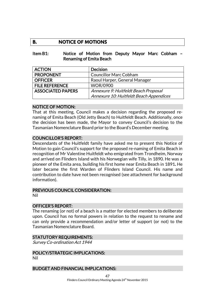### **B. NOTICE OF MOTIONS**

#### Item B1: Notice of Motion from Deputy Mayor Marc Cobham – Renaming of Emita Beach

| <b>ACTION</b>            | <b>Decision</b>                         |
|--------------------------|-----------------------------------------|
| <b>PROPONENT</b>         | <b>Councillor Marc Cobham</b>           |
| <b>OFFICER</b>           | Raoul Harper, General Manager           |
| <b>FILE REFERENCE</b>    | <b>WOR/0900</b>                         |
| <b>ASSOCIATED PAPERS</b> | Annexure 9: Huitfeldt Beach Proposal    |
|                          | Annexure 10: Huitfeldt Beach Appendices |

#### NOTICE OF MOTION:

That at this meeting, Council makes a decision regarding the proposed renaming of Emita Beach (Old Jetty Beach) to Huitfeldt Beach. Additionally, once the decision has been made, the Mayor to convey Council's decision to the Tasmanian Nomenclature Board prior to the Board's December meeting.

#### COUNCILLOR'S REPORT:

Descendants of the Huitfeldt family have asked me to present this Notice of Motion to gain Council's support for the proposed re-naming of Emita Beach in recognition of Mr Valentine Huitfeldt who emigrated from Trondheim, Norway and arrived on Flinders Island with his Norwegian wife Tilly, in 1890. He was a pioneer of the Emita area, building his first home near Emita Beach in 1891. He later became the first Warden of Flinders Island Council. His name and contribution to date have not been recognised (see attachment for background information).

#### PREVIOUS COUNCIL CONSIDERATION:

Nil

#### OFFICER'S REPORT:

The renaming (or not) of a beach is a matter for elected members to deliberate upon. Council has no formal powers in relation to the request to rename and can only provide a recommendation and/or letter of support (or not) to the Tasmanian Nomenclature Board.

#### STATUTORY REQUIREMENTS:

Survey Co-ordination Act 1944

### POLICY/STRATEGIC IMPLICATIONS:

Nil

#### BUDGET AND FINANCIAL IMPLICATIONS: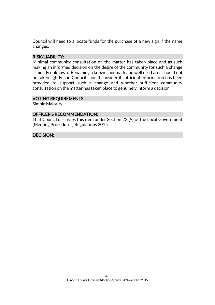Council will need to allocate funds for the purchase of a new sign if the name changes.

#### RISK/LIABILITY:

Minimal community consultation on the matter has taken place and as such making an informed decision on the desire of the community for such a change is mostly unknown. Renaming a known landmark and well used area should not be taken lightly and Council should consider if sufficient information has been provided to support such a change and whether sufficient community consultation on the matter has taken place to genuinely inform a decision.

#### VOTING REQUIREMENTS:

Simple Majority

#### OFFICER'S RECOMMENDATION:

That Council discusses this item under Section 22 (9) of the Local Government (Meeting Procedures) Regulations 2015.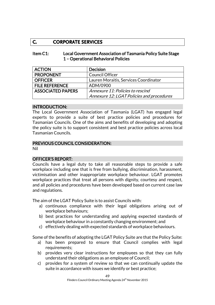### **C. CORPORATE SERVICES**

#### Item C1: Local Government Association of Tasmania Policy Suite Stage 1 – Operational Behavioral Policies

| <b>ACTION</b>            | <b>Decision</b>                           |
|--------------------------|-------------------------------------------|
| <b>PROPONENT</b>         | <b>Council Officer</b>                    |
| <b>OFFICER</b>           | Lauren Moraitis, Services Coordinator     |
| <b>FILE REFERENCE</b>    | ADM/0900                                  |
| <b>ASSOCIATED PAPERS</b> | Annexure 11: Policies to rescind          |
|                          | Annexure 12: LGAT Policies and procedures |

#### INTRODUCTION:

The Local Government Association of Tasmania (LGAT) has engaged legal experts to provide a suite of best practice policies and procedures for Tasmanian Councils. One of the aims and benefits of developing and adopting the policy suite is to support consistent and best practice policies across local Tasmanian Councils.

#### PREVIOUS COUNCIL CONSIDERATION:

Nil

#### OFFICER'S REPORT:

Councils have a legal duty to take all reasonable steps to provide a safe workplace including one that is free from bullying, discrimination, harassment, victimisation and other inappropriate workplace behaviour. LGAT promotes workplace practices that treat all persons with dignity, courtesy and respect, and all policies and procedures have been developed based on current case law and regulations.

The aim of the LGAT Policy Suite is to assist Councils with:

- a) continuous compliance with their legal obligations arising out of workplace behaviours;
- b) best practices for understanding and applying expected standards of workplace behaviour in a constantly changing environment; and
- c) effectively dealing with expected standards of workplace behaviours.

Some of the benefits of adopting the LGAT Policy Suite are that the Policy Suite:

- a) has been prepared to ensure that Council complies with legal requirements;
- b) provides very clear instructions for employees so that they can fully understand their obligations as an employee of Council;
- c) provides for a system of review so that we can continually update the suite in accordance with issues we identify or best practice;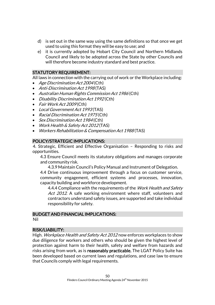- d) is set out in the same way using the same definitions so that once we get used to using this format they will be easy to use; and
- e) it is currently adopted by Hobart City Council and Northern Midlands Council and likely to be adopted across the State by other Councils and will therefore become industry standard and best practice.

#### STATUTORY REQUIREMENT:

All laws in connection with the carrying out of work or the Workplace including:

- Age Discrimination Act 2004 (Cth)
- Anti-Discrimination Act 1998 (TAS)
- Australian Human Rights Commission Act 1986 (Cth)
- Disability Discrimination Act 1992 (Cth)
- Fair Work Act 2009 (Cth)
- Local Government Act 1993(TAS)
- Racial Discrimination Act 1975 (Cth)
- Sex Discrimination Act 1984 (Cth)
- Work Health & Safety Act 2012 (TAS)
- Workers Rehabilitation & Compensation Act 1988 (TAS)

#### POLICY/STRATEGIC IMPLICATIONS:

4. Strategic, Efficient and Effective Organisation – Responding to risks and opportunities.

4.3 Ensure Council meets its statutory obligations and manages corporate and community risk.

4.3.9 Maintain Council's Policy Manual and Instrument of Delegation.

4.4 Drive continuous improvement through a focus on customer service, community engagement, efficient systems and processes, innovation, capacity building and workforce development.

4.4.4 Compliance with the requirements of the Work Health and Safety Act 2012. A safe working environment where staff, volunteers and contractors understand safety issues, are supported and take individual responsibility for safety.

#### BUDGET AND FINANCIAL IMPLICATIONS: Nil

#### RISK/LIABILITY:

High. Workplace Health and Safety Act 2012 now enforces workplaces to show due diligence for workers and others who should be given the highest level of protection against harm to their health, safety and welfare from hazards and risks arising from work, as is reasonably practicable. The LGAT Policy Suite has been developed based on current laws and regulations, and case law to ensure that Councils comply with legal requirements.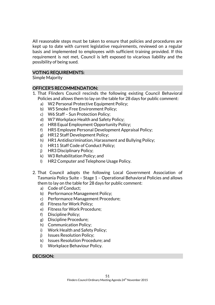All reasonable steps must be taken to ensure that policies and procedures are kept up to date with current legislative requirements, reviewed on a regular basis and implemented to employees with sufficient training provided. If this requirement is not met, Council is left exposed to vicarious liability and the possibility of being sued.

#### VOTING REQUIREMENTS:

Simple Majority

#### OFFICER'S RECOMMENDATION:

- 1. That Flinders Council rescinds the following existing Council Behavioral Policies and allows them to lay on the table for 28 days for public comment:
	- a) W2 Personal Protective Equipment Policy;
	- b) W5 Smoke Free Environment Policy;
	- c) W6 Staff Sun Protection Policy;
	- d) W7 Workplace Health and Safety Policy;
	- e) HR8 Equal Employment Opportunity Policy;
	- f) HR5 Employee Personal Development Appraisal Policy;
	- g) HR12 Staff Development Policy;
	- h) HR1 Antidiscrimination, Harassment and Bullying Policy;
	- i) HR11 Staff Code of Conduct Policy;
	- j) HR3 Disciplinary Policy;
	- k) W3 Rehabilitation Policy; and
	- l) HR2 Computer and Telephone Usage Policy.
- 2. That Council adopts the following Local Government Association of Tasmania Policy Suite – Stage 1 – Operational Behavioral Policies and allows them to lay on the table for 28 days for public comment:
	- a) Code of Conduct;
	- b) Performance Management Policy;
	- c) Performance Management Procedure;
	- d) Fitness for Work Policy;
	- e) Fitness for Work Procedure;
	- f) Discipline Policy;
	- g) Discipline Procedure;
	- h) Communication Policy;
	- i) Work Health and Safety Policy;
	- j) Issues Resolution Policy;
	- k) Issues Resolution Procedure; and
	- l) Workplace Behaviour Policy.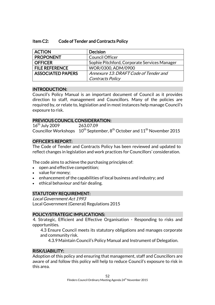#### Item C2: Code of Tender and Contracts Policy

| <b>ACTION</b>            | <b>Decision</b>                              |
|--------------------------|----------------------------------------------|
| <b>PROPONENT</b>         | <b>Council Officer</b>                       |
| <b>OFFICER</b>           | Sophie Pitchford, Corporate Services Manager |
| <b>FILE REFERENCE</b>    | WOR/0300, ADM/0900                           |
| <b>ASSOCIATED PAPERS</b> | Annexure 13: DRAFT Code of Tender and        |
|                          | Contracts Policy                             |

#### INTRODUCTION:

Council's Policy Manual is an important document of Council as it provides direction to staff, management and Councillors. Many of the policies are required by, or relate to, legislation and in most instances help manage Council's exposure to risk.

#### PREVIOUS COUNCIL CONSIDERATION:

16<sup>th</sup> July 2009 263.07.09 Councillor Workshops  $10^{th}$  September,  $8^{th}$  October and  $11^{th}$  November 2015

#### OFFICER'S REPORT:

The Code of Tender and Contracts Policy has been reviewed and updated to reflect changes in legislation and work practices for Councillors' consideration.

The code aims to achieve the purchasing principles of:

- open and effective competition;
- value for money;
- enhancement of the capabilities of local business and industry; and
- ethical behaviour and fair dealing.

#### STATUTORY REQUIREMENT:

Local Government Act 1993 Local Government (General) Regulations 2015

#### POLICY/STRATEGIC IMPLICATIONS:

4. Strategic, Efficient and Effective Organisation - Responding to risks and opportunities.

4.3 Ensure Council meets its statutory obligations and manages corporate and community risk.

4.3.9 Maintain Council's Policy Manual and Instrument of Delegation.

#### RISK/LIABILITY:

Adoption of this policy and ensuring that management, staff and Councillors are aware of and follow this policy will help to reduce Council's exposure to risk in this area.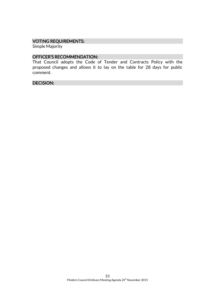#### VOTING REQUIREMENTS:

Simple Majority

#### OFFICER'S RECOMMENDATION:

That Council adopts the Code of Tender and Contracts Policy with the proposed changes and allows it to lay on the table for 28 days for public comment.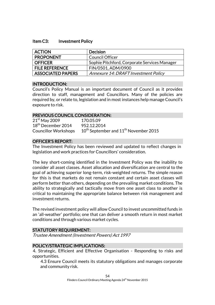#### Item C3: Investment Policy

| <b>ACTION</b>            | <b>Decision</b>                              |
|--------------------------|----------------------------------------------|
| <b>PROPONENT</b>         | <b>Council Officer</b>                       |
| <b>OFFICER</b>           | Sophie Pitchford, Corporate Services Manager |
| <b>FILE REFERENCE</b>    | FIN/0501, ADM/0900                           |
| <b>ASSOCIATED PAPERS</b> | Annexure 14: DRAFT Investment Policy         |

#### INTRODUCTION:

Council's Policy Manual is an important document of Council as it provides direction to staff, management and Councillors. Many of the policies are required by, or relate to, legislation and in most instances help manage Council's exposure to risk.

#### PREVIOUS COUNCIL CONSIDERATION:

21<sup>st</sup> May 2009 170.05.09 18th December 2014 952.12.2014 Councillor Workshops  $10^{th}$  September and  $11^{th}$  November 2015

#### OFFICER'S REPORT:

The Investment Policy has been reviewed and updated to reflect changes in legislation and work practices for Councillors' consideration.

The key short-coming identified in the Investment Policy was the inability to consider all asset classes. Asset allocation and diversification are central to the goal of achieving superior long-term, risk-weighted returns. The simple reason for this is that markets do not remain constant and certain asset classes will perform better than others, depending on the prevailing market conditions. The ability to strategically and tactically move from one asset class to another is critical to maintaining the appropriate balance between risk management and investment returns.

The revised investment policy will allow Council to invest uncommitted funds in an 'all-weather' portfolio; one that can deliver a smooth return in most market conditions and through various market cycles.

#### STATUTORY REQUIREMENT:

Trustee Amendment (Investment Powers) Act 1997

#### POLICY/STRATEGIC IMPLICATIONS:

4. Strategic, Efficient and Effective Organisation - Responding to risks and opportunities.

4.3 Ensure Council meets its statutory obligations and manages corporate and community risk.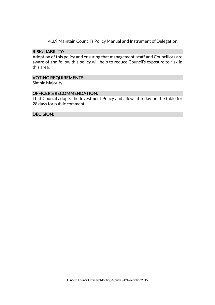4.3.9 Maintain Council's Policy Manual and Instrument of Delegation.

#### RISK/LIABILITY:

Adoption of this policy and ensuring that management, staff and Councillors are aware of and follow this policy will help to reduce Council's exposure to risk in this area.

#### VOTING REQUIREMENTS:

Simple Majority

#### OFFICER'S RECOMMENDATION:

That Council adopts the Investment Policy and allows it to lay on the table for 28 days for public comment.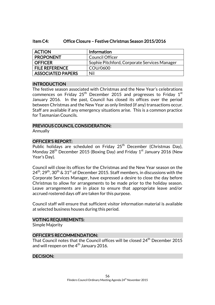#### Item C4: Office Closure – Festive Christmas Season 2015/2016

| <b>ACTION</b>         | <b>Information</b>                           |
|-----------------------|----------------------------------------------|
| <b>PROPONENT</b>      | <b>Council Officer</b>                       |
| <b>OFFICER</b>        | Sophie Pitchford, Corporate Services Manager |
| <b>FILE REFERENCE</b> | COU/0600                                     |
| ASSOCIATED PAPERS     | Nil                                          |

#### INTRODUCTION

The festive season associated with Christmas and the New Year's celebrations commences on Friday 25 $^{\rm th}$  December 2015 and progresses to Friday 1 $^{\rm st}$ January 2016. In the past, Council has closed its offices over the period between Christmas and the New Year as only limited (if any) transactions occur. Staff are available if any emergency situations arise. This is a common practice for Tasmanian Councils.

#### PREVIOUS COUNCIL CONSIDERATION:

Annually

#### OFFICER'S REPORT:

Public holidays are scheduled on Friday 25<sup>th</sup> December (Christmas Day), Monday 28<sup>th</sup> December 2015 (Boxing Day) and Friday 1<sup>st</sup> January 2016 (New Year's Day).

Council will close its offices for the Christmas and the New Year season on the  $24<sup>th</sup>$ ,  $29<sup>th</sup>$ ,  $30<sup>th</sup>$  &  $31<sup>st</sup>$  of December 2015. Staff members, in discussions with the Corporate Services Manager, have expressed a desire to close the day before Christmas to allow for arrangements to be made prior to the holiday season. Leave arrangements are in place to ensure that appropriate leave and/or accrued rostered days off are taken for this purpose.

Council staff will ensure that sufficient visitor information material is available at selected business houses during this period.

#### VOTING REQUIREMENTS:

Simple Majority

#### OFFICER'S RECOMMENDATION:

That Council notes that the Council offices will be closed 24<sup>th</sup> December 2015 and will reopen on the  $4^{th}$  January 2016.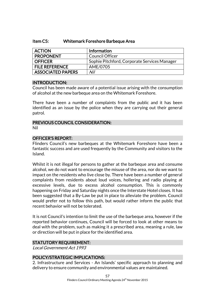#### Item C5: Whitemark Foreshore Barbeque Area

| <b>ACTION</b>            | <b>Information</b>                           |
|--------------------------|----------------------------------------------|
| <b>PROPONENT</b>         | <b>Council Officer</b>                       |
| <b>OFFICER</b>           | Sophie Pitchford, Corporate Services Manager |
| <b>FILE REFERENCE</b>    | AME/0705                                     |
| <b>ASSOCIATED PAPERS</b> | Nil                                          |

#### INTRODUCTION:

Council has been made aware of a potential issue arising with the consumption of alcohol at the new barbeque area on the Whitemark Foreshore.

There have been a number of complaints from the public and it has been identified as an issue by the police when they are carrying out their general patrol.

#### PREVIOUS COUNCIL CONSIDERATION: Nil

#### OFFICER'S REPORT:

Flinders Council's new barbeques at the Whitemark Foreshore have been a fantastic success and are used frequently by the Community and visitors to the Island.

Whilst it is not illegal for persons to gather at the barbeque area and consume alcohol, we do not want to encourage the misuse of the area, nor do we want to impact on the residents who live close by. There have been a number of general complaints from residents about loud voices, hollering and radio playing at excessive levels, due to excess alcohol consumption. This is commonly happening on Friday and Saturday nights once the Interstate Hotel closes. It has been suggested that a By-Law be put in place to alleviate the problem. Council would prefer not to follow this path, but would rather inform the public that recent behavior will not be tolerated.

It is not Council's intention to limit the use of the barbeque area, however if the reported behavior continues, Council will be forced to look at other means to deal with the problem, such as making it a prescribed area, meaning a rule, law or direction will be put in place for the identified area.

#### STATUTORY REQUIREMENT:

Local Government Act 1993

#### POLICY/STRATEGIC IMPLICATIONS:

2. Infrastructure and Services - An Islands' specific approach to planning and delivery to ensure community and environmental values are maintained.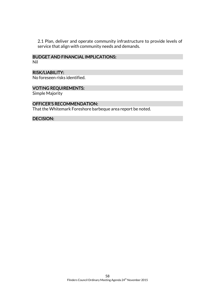2.1 Plan, deliver and operate community infrastructure to provide levels of service that align with community needs and demands.

### BUDGET AND FINANCIAL IMPLICATIONS:

Nil

#### RISK/LIABILITY:

No foreseen risks identified.

#### VOTING REQUIREMENTS:

Simple Majority

#### OFFICER'S RECOMMENDATION:

That the Whitemark Foreshore barbeque area report be noted.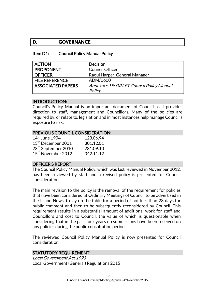#### **D. GOVERNANCE**

#### Item D1: Council Policy Manual Policy

| <b>ACTION</b>            | <b>Decision</b>                          |
|--------------------------|------------------------------------------|
| <b>PROPONENT</b>         | <b>Council Officer</b>                   |
| <b>OFFICER</b>           | Raoul Harper, General Manager            |
| <b>FILE REFERENCE</b>    | ADM/0600                                 |
| <b>ASSOCIATED PAPERS</b> | Annexure 15: DRAFT Council Policy Manual |
|                          | Policy                                   |

#### INTRODUCTION:

Council's Policy Manual is an important document of Council as it provides direction to staff, management and Councillors. Many of the policies are required by, or relate to, legislation and in most instances help manage Council's exposure to risk.

#### PREVIOUS COUNCIL CONSIDERATION:

| 123.06.94 |
|-----------|
| 301.12.01 |
| 281.09.10 |
| 342.11.12 |
|           |

#### OFFICER'S REPORT:

The Council Policy Manual Policy, which was last reviewed in November 2012, has been reviewed by staff and a revised policy is presented for Council consideration.

The main revision to the policy is the removal of the requirement for policies that have been considered at Ordinary Meetings of Council to be advertised in the Island News, to lay on the table for a period of not less than 28 days for public comment and then to be subsequently reconsidered by Council. This requirement results in a substantial amount of additional work for staff and Councillors and cost to Council, the value of which is questionable when considering that in the past four years no submissions have been received on any policies during the public consultation period.

The reviewed Council Policy Manual Policy is now presented for Council consideration.

#### STATUTORY REQUIREMENT:

Local Government Act 1993 Local Government (General) Regulations 2015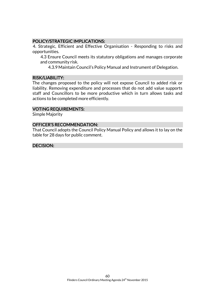#### POLICY/STRATEGIC IMPLICATIONS:

4. Strategic, Efficient and Effective Organisation - Responding to risks and opportunities.

4.3 Ensure Council meets its statutory obligations and manages corporate and community risk.

4.3.9 Maintain Council's Policy Manual and Instrument of Delegation.

#### RISK/LIABILITY:

The changes proposed to the policy will not expose Council to added risk or liability. Removing expenditure and processes that do not add value supports staff and Councillors to be more productive which in turn allows tasks and actions to be completed more efficiently.

#### VOTING REQUIREMENTS:

Simple Majority

#### OFFICER'S RECOMMENDATION:

That Council adopts the Council Policy Manual Policy and allows it to lay on the table for 28 days for public comment.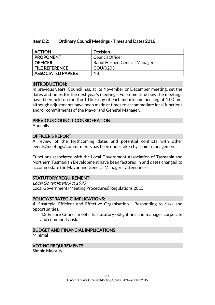#### Item D2: Ordinary Council Meetings - Times and Dates 2016

| <b>ACTION</b>            | Decision                      |
|--------------------------|-------------------------------|
| <b>PROPONENT</b>         | <b>Council Officer</b>        |
| <b>OFFICER</b>           | Raoul Harper, General Manager |
| <b>FILE REFERENCE</b>    | COU/0203                      |
| <b>ASSOCIATED PAPERS</b> | Nil                           |

#### INTRODUCTION:

In previous years, Council has, at its November or December meeting, set the dates and times for the next year's meetings. For some time now the meetings have been held on the third Thursday of each month commencing at 1.00 pm, although adjustments have been made at times to accommodate local functions and/or commitments of the Mayor and General Manager.

#### PREVIOUS COUNCIL CONSIDERATION:

Annually

#### OFFICER'S REPORT:

A review of the forthcoming dates and potential conflicts with other events/meetings/commitments has been undertaken by senior management.

Functions associated with the Local Government Association of Tasmania and Northern Tasmanian Development have been factored in and dates changed to accommodate the Mayor and General Manager's attendance.

#### STATUTORY REQUIREMENT:

Local Government Act 1993 Local Government (Meeting Procedures) Regulations 2015

#### POLICY/STRATEGIC IMPLICATIONS:

4. Strategic, Efficient and Effective Organisation - Responding to risks and opportunities.

4.3 Ensure Council meets its statutory obligations and manages corporate and community risk.

#### BUDGET AND FINANCIAL IMPLICATIONS

Minimal

#### VOTING REQUIREMENTS

Simple Majority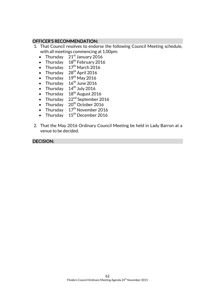#### OFFICER'S RECOMMENDATION:

- 1. That Council resolves to endorse the following Council Meeting schedule, with all meetings commencing at 1.00pm:
	- Thursday  $21<sup>st</sup>$  January 2016
	- Thursday  $18^{th}$  February 2016
	- Thursday  $17<sup>th</sup>$  March 2016
	- Thursday  $28<sup>th</sup>$  April 2016
	- Thursday  $19<sup>th</sup>$  May 2016
	- Thursday  $16^{\text{th}}$  June 2016
	- Thursday  $14<sup>th</sup>$  July 2016
	- Thursday  $18^{th}$  August 2016
	- Thursday  $22^{nd}$  September 2016
	- Thursday  $20<sup>th</sup>$  October 2016
	- Thursday  $17<sup>th</sup>$  November 2016
	- Thursday  $15^{\text{th}}$  December 2016
- 2. That the May 2016 Ordinary Council Meeting be held in Lady Barron at a venue to be decided.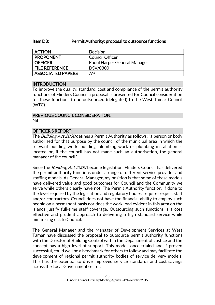#### Item D3: Permit Authority: proposal to outsource functions

| <b>ACTION</b>            | <b>Decision</b>              |
|--------------------------|------------------------------|
| <b>PROPONENT</b>         | Council Officer              |
| <b>OFFICER</b>           | Raoul Harper General Manager |
| <b>FILE REFERENCE</b>    | DSV/0300                     |
| <b>ASSOCIATED PAPERS</b> | Nil                          |

#### INTRODUCTION

To improve the quality, standard, cost and compliance of the permit authority functions of Flinders Council a proposal is presented for Council consideration for these functions to be outsourced (delegated) to the West Tamar Council (WTC).

#### PREVIOUS COUNCIL CONSIDERATION: Nil

### OFFICER'S REPORT:

The *Building Act 2000* defines a Permit Authority as follows: "a person or body authorised for that purpose by the council of the municipal area in which the relevant building work, building, plumbing work or plumbing installation is located or, if the council has not made such an authorisation, the general manager of the council".

Since the *Building Act 2000* became legislation, Flinders Council has delivered the permit authority functions under a range of different service provider and staffing models. As General Manager, my position is that some of these models have delivered value and good outcomes for Council and the Community we serve while others clearly have not. The Permit Authority function, if done to the level required by the legislation and regulatory bodies, requires expert staff and/or contractors. Council does not have the financial ability to employ such people on a permanent basis nor does the work load evident in this area on the islands justify full-time staff coverage. Outsourcing such functions is a cost effective and prudent approach to delivering a high standard service while minimising risk to Council.

The General Manager and the Manager of Development Services at West Tamar have discussed the proposal to outsource permit authority functions with the Director of Building Control within the Department of Justice and the concept has a high level of support. This model, once trialed and if proven successful, could well be a benchmark for others to follow and may facilitate the development of regional permit authority bodies of service delivery models. This has the potential to drive improved service standards and cost savings across the Local Government sector.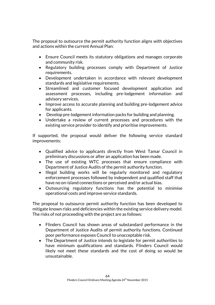The proposal to outsource the permit authority function aligns with objectives and actions within the current Annual Plan:

- Ensure Council meets its statutory obligations and manages corporate and community risk.
- Regulatory building processes comply with Department of Justice requirements.
- Development undertaken in accordance with relevant development standards and legislative requirements.
- Streamlined and customer focused development application and assessment processes, including pre-lodgement information and advisory services.
- Improve access to accurate planning and building pre-lodgement advice for applicants.
- Develop pre-lodgement information packs for building and planning.
- Undertake a review of current processes and procedures with the existing service provider to identify and prioritise improvements.

If supported, the proposal would deliver the following service standard improvements:

- Qualified advice to applicants directly from West Tamar Council in preliminary discussions or after an application has been made.
- The use of existing WTC processes that ensure compliance with Department of Justice Audits of the permit authority function.
- Illegal building works will be regularly monitored and regulatory enforcement processes followed by independent and qualified staff that have no on-island connections or perceived and/or actual bias.
- Outsourcing regulatory functions has the potential to minimise operational costs and improve service standards.

The proposal to outsource permit authority function has been developed to mitigate known risks and deficiencies within the existing service delivery model. The risks of not proceeding with the project are as follows:

- Flinders Council has shown areas of substandard performance in the Department of Justice Audits of permit authority functions. Continued poor performance exposes Council to unacceptable risk.
- The Department of Justice intends to legislate for permit authorities to have minimum qualifications and standards. Flinders Council would likely not meet these standards and the cost of doing so would be unsustainable.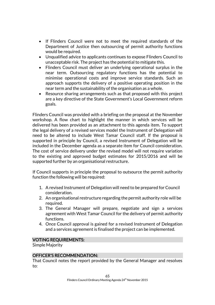- If Flinders Council were not to meet the required standards of the Department of Justice then outsourcing of permit authority functions would be required.
- Unqualified advice to applicants continues to expose Flinders Council to unacceptable risk. The project has the potential to mitigate this.
- Flinders Council must deliver an underlying operational surplus in the near term. Outsourcing regulatory functions has the potential to minimise operational costs and improve service standards. Such an approach supports the delivery of a positive operating position in the near term and the sustainability of the organisation as a whole.
- Resource sharing arrangements such as that proposed with this project are a key directive of the State Government's Local Government reform goals.

Flinders Council was provided with a briefing on the proposal at the November workshop. A flow chart to highlight the manner in which services will be delivered has been provided as an attachment to this agenda item. To support the legal delivery of a revised services model the Instrument of Delegation will need to be altered to include West Tamar Council staff. If the proposal is supported in principle by Council, a revised Instrument of Delegation will be included in the December agenda as a separate item for Council consideration. The cost of service delivery under the revised model will not require variation to the existing and approved budget estimates for 2015/2016 and will be supported further by an organisational restructure.

If Council supports in principle the proposal to outsource the permit authority function the following will be required:

- 1. A revised Instrument of Delegation will need to be prepared for Council consideration.
- 2. An organisational restructure regarding the permit authority role will be required.
- 3. The General Manager will prepare, negotiate and sign a services agreement with West Tamar Council for the delivery of permit authority functions.
- 4. Once Council approval is gained for a revised Instrument of Delegation and a services agreement is finalised the project can be implemented.

#### VOTING REQUIREMENTS:

Simple Majority

#### OFFICER'S RECOMMENDATION:

That Council notes the report provided by the General Manager and resolves to: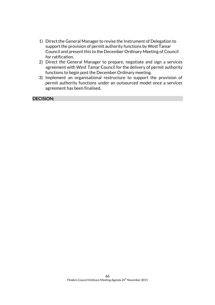- 1) Direct the General Manager to revise the Instrument of Delegation to support the provision of permit authority functions by West Tamar Council and present this to the December Ordinary Meeting of Council for ratification.
- 2) Direct the General Manager to prepare, negotiate and sign a services agreement with West Tamar Council for the delivery of permit authority functions to begin post the December Ordinary meeting.
- 3) Implement an organisational restructure to support the provision of permit authority functions under an outsourced model once a services agreement has been finalised.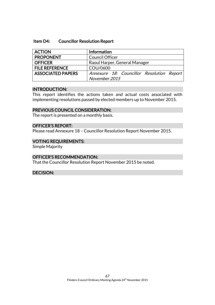#### Item D4: Councillor Resolution Report

| <b>ACTION</b>            | Information                               |
|--------------------------|-------------------------------------------|
| <b>PROPONENT</b>         | <b>Council Officer</b>                    |
| <b>OFFICER</b>           | Raoul Harper, General Manager             |
| <b>FILE REFERENCE</b>    | COU/0600                                  |
| <b>ASSOCIATED PAPERS</b> | Annexure 18: Councillor Resolution Report |
|                          | November 2015                             |

#### INTRODUCTION:

This report identifies the actions taken and actual costs associated with implementing resolutions passed by elected members up to November 2015.

#### PREVIOUS COUNCIL CONSIDERATION:

The report is presented on a monthly basis.

#### OFFICER'S REPORT:

Please read Annexure 18 – Councillor Resolution Report November 2015.

#### VOTING REQUIREMENTS:

Simple Majority

#### OFFICER'S RECOMMENDATION:

That the Councillor Resolution Report November 2015 be noted.